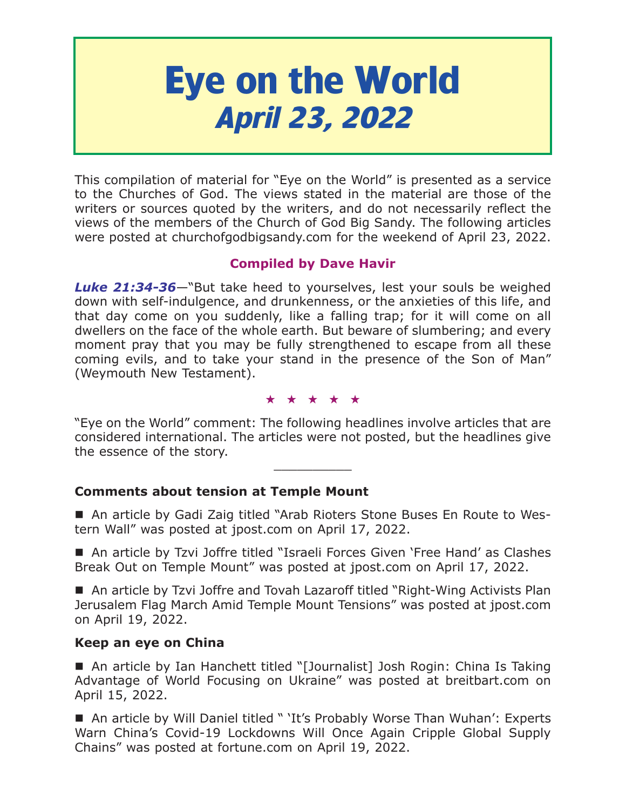# **Eye on the World April 23, 2022**

This compilation of material for "Eye on the World" is presented as a service to the Churches of God. The views stated in the material are those of the writers or sources quoted by the writers, and do not necessarily reflect the views of the members of the Church of God Big Sandy. The following articles were posted at churchofgodbigsandy.com for the weekend of April 23, 2022.

# **Compiled by Dave Havir**

*Luke 21:34-36*—"But take heed to yourselves, lest your souls be weighed down with self-indulgence, and drunkenness, or the anxieties of this life, and that day come on you suddenly, like a falling trap; for it will come on all dwellers on the face of the whole earth. But beware of slumbering; and every moment pray that you may be fully strengthened to escape from all these coming evils, and to take your stand in the presence of the Son of Man" (Weymouth New Testament).

## ★★★★★

"Eye on the World" comment: The following headlines involve articles that are considered international. The articles were not posted, but the headlines give the essence of the story.

 $\overline{\phantom{a}}$  , where  $\overline{\phantom{a}}$ 

# **Comments about tension at Temple Mount**

■ An article by Gadi Zaig titled "Arab Rioters Stone Buses En Route to Western Wall" was posted at jpost.com on April 17, 2022.

■ An article by Tzvi Joffre titled "Israeli Forces Given 'Free Hand' as Clashes Break Out on Temple Mount" was posted at jpost.com on April 17, 2022.

■ An article by Tzvi Joffre and Tovah Lazaroff titled "Right-Wing Activists Plan Jerusalem Flag March Amid Temple Mount Tensions" was posted at jpost.com on April 19, 2022.

# **Keep an eye on China**

■ An article by Ian Hanchett titled "[Journalist] Josh Rogin: China Is Taking Advantage of World Focusing on Ukraine" was posted at breitbart.com on April 15, 2022.

■ An article by Will Daniel titled " 'It's Probably Worse Than Wuhan': Experts Warn China's Covid-19 Lockdowns Will Once Again Cripple Global Supply Chains" was posted at fortune.com on April 19, 2022.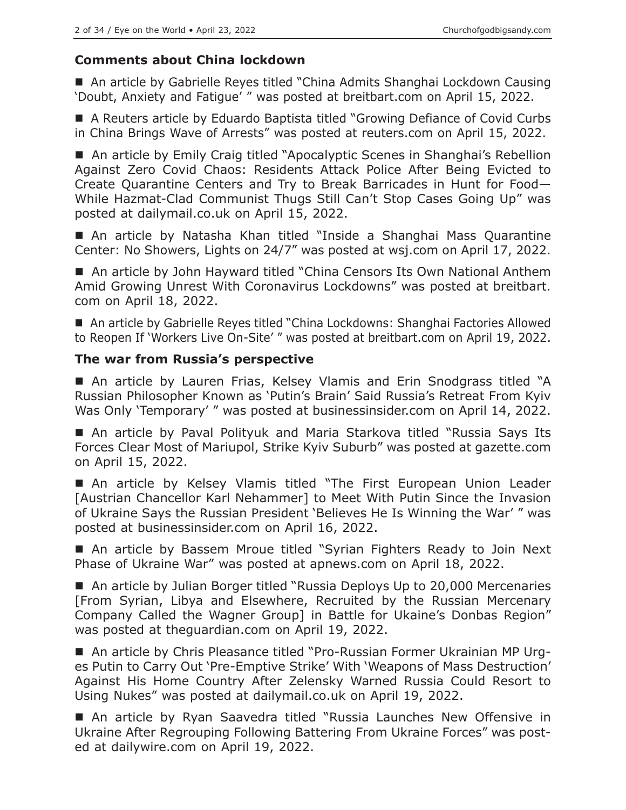# **Comments about China lockdown**

■ An article by Gabrielle Reyes titled "China Admits Shanghai Lockdown Causing 'Doubt, Anxiety and Fatigue' " was posted at breitbart.com on April 15, 2022.

■ A Reuters article by Eduardo Baptista titled "Growing Defiance of Covid Curbs in China Brings Wave of Arrests" was posted at reuters.com on April 15, 2022.

■ An article by Emily Craig titled "Apocalyptic Scenes in Shanghai's Rebellion Against Zero Covid Chaos: Residents Attack Police After Being Evicted to Create Quarantine Centers and Try to Break Barricades in Hunt for Food— While Hazmat-Clad Communist Thugs Still Can't Stop Cases Going Up" was posted at dailymail.co.uk on April 15, 2022.

 An article by Natasha Khan titled "Inside a Shanghai Mass Quarantine Center: No Showers, Lights on 24/7" was posted at wsj.com on April 17, 2022.

■ An article by John Hayward titled "China Censors Its Own National Anthem Amid Growing Unrest With Coronavirus Lockdowns" was posted at breitbart. com on April 18, 2022.

■ An article by Gabrielle Reyes titled "China Lockdowns: Shanghai Factories Allowed to Reopen If 'Workers Live On-Site' " was posted at breitbart.com on April 19, 2022.

# **The war from Russia's perspective**

 An article by Lauren Frias, Kelsey Vlamis and Erin Snodgrass titled "A Russian Philosopher Known as 'Putin's Brain' Said Russia's Retreat From Kyiv Was Only 'Temporary' " was posted at businessinsider.com on April 14, 2022.

 An article by Paval Polityuk and Maria Starkova titled "Russia Says Its Forces Clear Most of Mariupol, Strike Kyiv Suburb" was posted at gazette.com on April 15, 2022.

■ An article by Kelsey Vlamis titled "The First European Union Leader [Austrian Chancellor Karl Nehammer] to Meet With Putin Since the Invasion of Ukraine Says the Russian President 'Believes He Is Winning the War' " was posted at businessinsider.com on April 16, 2022.

 An article by Bassem Mroue titled "Syrian Fighters Ready to Join Next Phase of Ukraine War" was posted at apnews.com on April 18, 2022.

■ An article by Julian Borger titled "Russia Deploys Up to 20,000 Mercenaries [From Syrian, Libya and Elsewhere, Recruited by the Russian Mercenary Company Called the Wagner Group] in Battle for Ukaine's Donbas Region" was posted at theguardian.com on April 19, 2022.

 An article by Chris Pleasance titled "Pro-Russian Former Ukrainian MP Urges Putin to Carry Out 'Pre-Emptive Strike' With 'Weapons of Mass Destruction' Against His Home Country After Zelensky Warned Russia Could Resort to Using Nukes" was posted at dailymail.co.uk on April 19, 2022.

 An article by Ryan Saavedra titled "Russia Launches New Offensive in Ukraine After Regrouping Following Battering From Ukraine Forces" was posted at dailywire.com on April 19, 2022.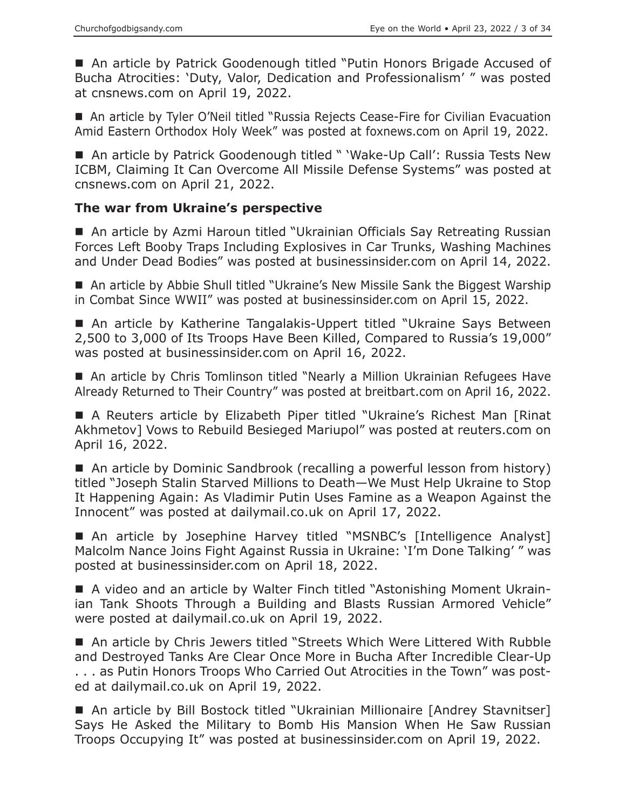■ An article by Patrick Goodenough titled "Putin Honors Brigade Accused of Bucha Atrocities: 'Duty, Valor, Dedication and Professionalism' " was posted at cnsnews.com on April 19, 2022.

■ An article by Tyler O'Neil titled "Russia Rejects Cease-Fire for Civilian Evacuation Amid Eastern Orthodox Holy Week" was posted at foxnews.com on April 19, 2022.

■ An article by Patrick Goodenough titled " 'Wake-Up Call': Russia Tests New ICBM, Claiming It Can Overcome All Missile Defense Systems" was posted at cnsnews.com on April 21, 2022.

## **The war from Ukraine's perspective**

■ An article by Azmi Haroun titled "Ukrainian Officials Say Retreating Russian Forces Left Booby Traps Including Explosives in Car Trunks, Washing Machines and Under Dead Bodies" was posted at businessinsider.com on April 14, 2022.

■ An article by Abbie Shull titled "Ukraine's New Missile Sank the Biggest Warship in Combat Since WWII" was posted at businessinsider.com on April 15, 2022.

 An article by Katherine Tangalakis-Uppert titled "Ukraine Says Between 2,500 to 3,000 of Its Troops Have Been Killed, Compared to Russia's 19,000" was posted at businessinsider.com on April 16, 2022.

 An article by Chris Tomlinson titled "Nearly a Million Ukrainian Refugees Have Already Returned to Their Country" was posted at breitbart.com on April 16, 2022.

 A Reuters article by Elizabeth Piper titled "Ukraine's Richest Man [Rinat Akhmetov] Vows to Rebuild Besieged Mariupol" was posted at reuters.com on April 16, 2022.

■ An article by Dominic Sandbrook (recalling a powerful lesson from history) titled "Joseph Stalin Starved Millions to Death—We Must Help Ukraine to Stop It Happening Again: As Vladimir Putin Uses Famine as a Weapon Against the Innocent" was posted at dailymail.co.uk on April 17, 2022.

■ An article by Josephine Harvey titled "MSNBC's [Intelligence Analyst] Malcolm Nance Joins Fight Against Russia in Ukraine: 'I'm Done Talking' " was posted at businessinsider.com on April 18, 2022.

 A video and an article by Walter Finch titled "Astonishing Moment Ukrainian Tank Shoots Through a Building and Blasts Russian Armored Vehicle" were posted at dailymail.co.uk on April 19, 2022.

■ An article by Chris Jewers titled "Streets Which Were Littered With Rubble and Destroyed Tanks Are Clear Once More in Bucha After Incredible Clear-Up ... as Putin Honors Troops Who Carried Out Atrocities in the Town" was posted at dailymail.co.uk on April 19, 2022.

 An article by Bill Bostock titled "Ukrainian Millionaire [Andrey Stavnitser] Says He Asked the Military to Bomb His Mansion When He Saw Russian Troops Occupying It" was posted at businessinsider.com on April 19, 2022.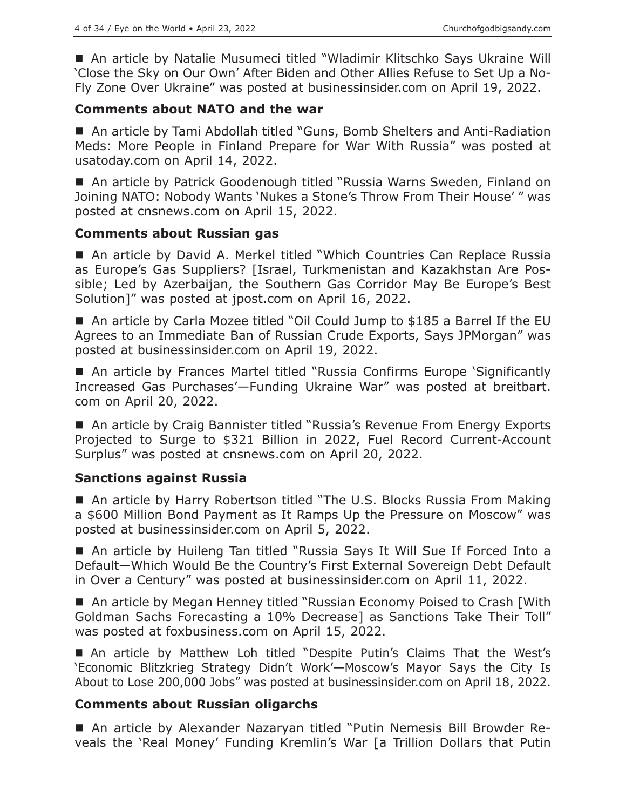An article by Natalie Musumeci titled "Wladimir Klitschko Says Ukraine Will 'Close the Sky on Our Own' After Biden and Other Allies Refuse to Set Up a No-Fly Zone Over Ukraine" was posted at businessinsider.com on April 19, 2022.

# **Comments about NATO and the war**

■ An article by Tami Abdollah titled "Guns, Bomb Shelters and Anti-Radiation Meds: More People in Finland Prepare for War With Russia" was posted at usatoday.com on April 14, 2022.

■ An article by Patrick Goodenough titled "Russia Warns Sweden, Finland on Joining NATO: Nobody Wants 'Nukes a Stone's Throw From Their House' " was posted at cnsnews.com on April 15, 2022.

# **Comments about Russian gas**

■ An article by David A. Merkel titled "Which Countries Can Replace Russia as Europe's Gas Suppliers? [Israel, Turkmenistan and Kazakhstan Are Possible; Led by Azerbaijan, the Southern Gas Corridor May Be Europe's Best Solution]" was posted at jpost.com on April 16, 2022.

■ An article by Carla Mozee titled "Oil Could Jump to \$185 a Barrel If the EU Agrees to an Immediate Ban of Russian Crude Exports, Says JPMorgan" was posted at businessinsider.com on April 19, 2022.

■ An article by Frances Martel titled "Russia Confirms Europe 'Significantly Increased Gas Purchases'—Funding Ukraine War" was posted at breitbart. com on April 20, 2022.

■ An article by Craig Bannister titled "Russia's Revenue From Energy Exports Projected to Surge to \$321 Billion in 2022, Fuel Record Current-Account Surplus" was posted at cnsnews.com on April 20, 2022.

# **Sanctions against Russia**

■ An article by Harry Robertson titled "The U.S. Blocks Russia From Making a \$600 Million Bond Payment as It Ramps Up the Pressure on Moscow" was posted at businessinsider.com on April 5, 2022.

■ An article by Huileng Tan titled "Russia Says It Will Sue If Forced Into a Default—Which Would Be the Country's First External Sovereign Debt Default in Over a Century" was posted at businessinsider.com on April 11, 2022.

■ An article by Megan Henney titled "Russian Economy Poised to Crash [With Goldman Sachs Forecasting a 10% Decrease] as Sanctions Take Their Toll" was posted at foxbusiness.com on April 15, 2022.

■ An article by Matthew Loh titled "Despite Putin's Claims That the West's 'Economic Blitzkrieg Strategy Didn't Work'—Moscow's Mayor Says the City Is About to Lose 200,000 Jobs" was posted at businessinsider.com on April 18, 2022.

# **Comments about Russian oligarchs**

 An article by Alexander Nazaryan titled "Putin Nemesis Bill Browder Reveals the 'Real Money' Funding Kremlin's War [a Trillion Dollars that Putin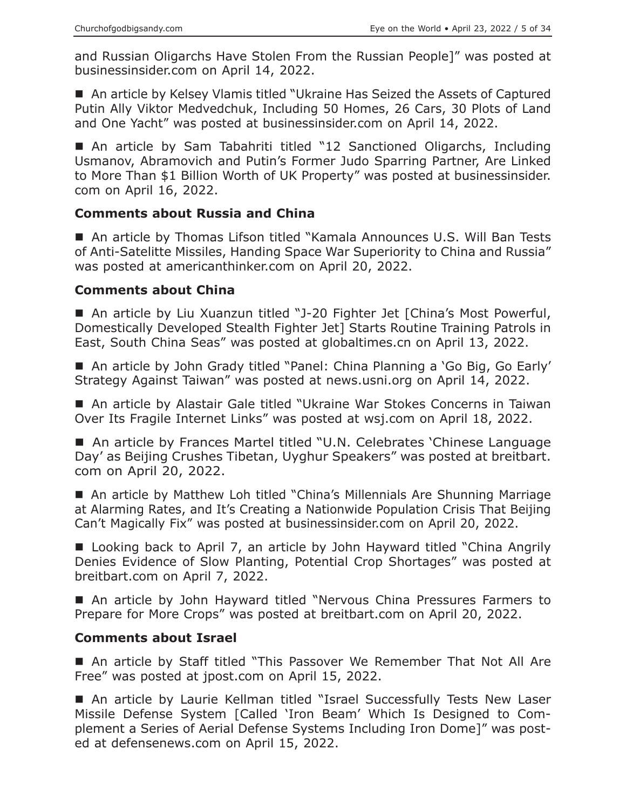and Russian Oligarchs Have Stolen From the Russian People]" was posted at businessinsider.com on April 14, 2022.

 An article by Kelsey Vlamis titled "Ukraine Has Seized the Assets of Captured Putin Ally Viktor Medvedchuk, Including 50 Homes, 26 Cars, 30 Plots of Land and One Yacht" was posted at businessinsider.com on April 14, 2022.

■ An article by Sam Tabahriti titled "12 Sanctioned Oligarchs, Including Usmanov, Abramovich and Putin's Former Judo Sparring Partner, Are Linked to More Than \$1 Billion Worth of UK Property" was posted at businessinsider. com on April 16, 2022.

# **Comments about Russia and China**

■ An article by Thomas Lifson titled "Kamala Announces U.S. Will Ban Tests of Anti-Satelitte Missiles, Handing Space War Superiority to China and Russia" was posted at americanthinker.com on April 20, 2022.

# **Comments about China**

■ An article by Liu Xuanzun titled "J-20 Fighter Jet [China's Most Powerful, Domestically Developed Stealth Fighter Jet] Starts Routine Training Patrols in East, South China Seas" was posted at globaltimes.cn on April 13, 2022.

■ An article by John Grady titled "Panel: China Planning a 'Go Big, Go Early' Strategy Against Taiwan" was posted at news.usni.org on April 14, 2022.

■ An article by Alastair Gale titled "Ukraine War Stokes Concerns in Taiwan Over Its Fragile Internet Links" was posted at wsj.com on April 18, 2022.

■ An article by Frances Martel titled "U.N. Celebrates 'Chinese Language Day' as Beijing Crushes Tibetan, Uyghur Speakers" was posted at breitbart. com on April 20, 2022.

■ An article by Matthew Loh titled "China's Millennials Are Shunning Marriage at Alarming Rates, and It's Creating a Nationwide Population Crisis That Beijing Can't Magically Fix" was posted at businessinsider.com on April 20, 2022.

■ Looking back to April 7, an article by John Hayward titled "China Angrily Denies Evidence of Slow Planting, Potential Crop Shortages" was posted at breitbart.com on April 7, 2022.

 An article by John Hayward titled "Nervous China Pressures Farmers to Prepare for More Crops" was posted at breitbart.com on April 20, 2022.

# **Comments about Israel**

■ An article by Staff titled "This Passover We Remember That Not All Are Free" was posted at jpost.com on April 15, 2022.

 An article by Laurie Kellman titled "Israel Successfully Tests New Laser Missile Defense System [Called 'Iron Beam' Which Is Designed to Complement a Series of Aerial Defense Systems Including Iron Dome]" was posted at defensenews.com on April 15, 2022.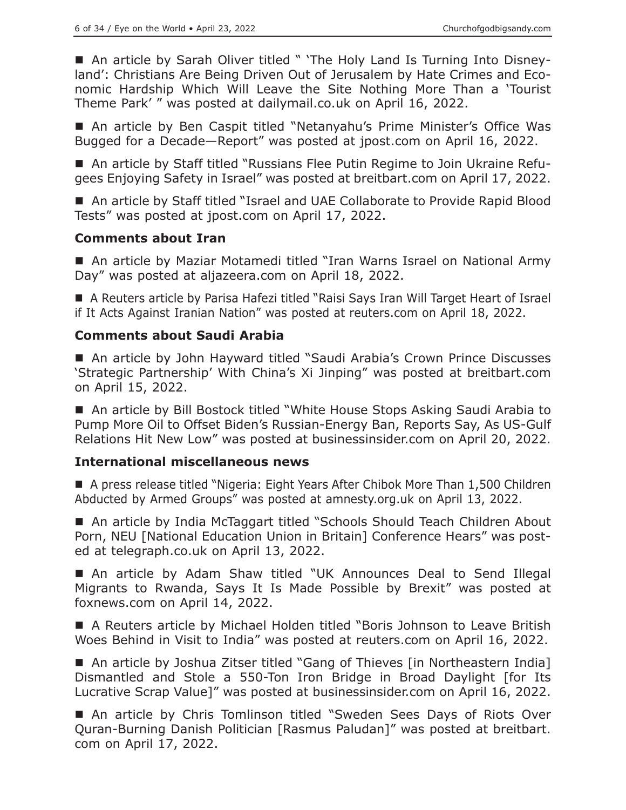■ An article by Sarah Oliver titled " 'The Holy Land Is Turning Into Disneyland': Christians Are Being Driven Out of Jerusalem by Hate Crimes and Economic Hardship Which Will Leave the Site Nothing More Than a 'Tourist Theme Park' " was posted at dailymail.co.uk on April 16, 2022.

■ An article by Ben Caspit titled "Netanyahu's Prime Minister's Office Was Bugged for a Decade—Report" was posted at jpost.com on April 16, 2022.

 An article by Staff titled "Russians Flee Putin Regime to Join Ukraine Refugees Enjoying Safety in Israel" was posted at breitbart.com on April 17, 2022.

■ An article by Staff titled "Israel and UAE Collaborate to Provide Rapid Blood Tests" was posted at jpost.com on April 17, 2022.

# **Comments about Iran**

■ An article by Maziar Motamedi titled "Iran Warns Israel on National Army Day" was posted at aljazeera.com on April 18, 2022.

 A Reuters article by Parisa Hafezi titled "Raisi Says Iran Will Target Heart of Israel if It Acts Against Iranian Nation" was posted at reuters.com on April 18, 2022.

# **Comments about Saudi Arabia**

■ An article by John Hayward titled "Saudi Arabia's Crown Prince Discusses 'Strategic Partnership' With China's Xi Jinping" was posted at breitbart.com on April 15, 2022.

■ An article by Bill Bostock titled "White House Stops Asking Saudi Arabia to Pump More Oil to Offset Biden's Russian-Energy Ban, Reports Say, As US-Gulf Relations Hit New Low" was posted at businessinsider.com on April 20, 2022.

# **International miscellaneous news**

 A press release titled "Nigeria: Eight Years After Chibok More Than 1,500 Children Abducted by Armed Groups" was posted at amnesty.org.uk on April 13, 2022.

■ An article by India McTaggart titled "Schools Should Teach Children About Porn, NEU [National Education Union in Britain] Conference Hears" was posted at telegraph.co.uk on April 13, 2022.

 An article by Adam Shaw titled "UK Announces Deal to Send Illegal Migrants to Rwanda, Says It Is Made Possible by Brexit" was posted at foxnews.com on April 14, 2022.

 A Reuters article by Michael Holden titled "Boris Johnson to Leave British Woes Behind in Visit to India" was posted at reuters.com on April 16, 2022.

■ An article by Joshua Zitser titled "Gang of Thieves [in Northeastern India] Dismantled and Stole a 550-Ton Iron Bridge in Broad Daylight [for Its Lucrative Scrap Value]" was posted at businessinsider.com on April 16, 2022.

■ An article by Chris Tomlinson titled "Sweden Sees Days of Riots Over Quran-Burning Danish Politician [Rasmus Paludan]" was posted at breitbart. com on April 17, 2022.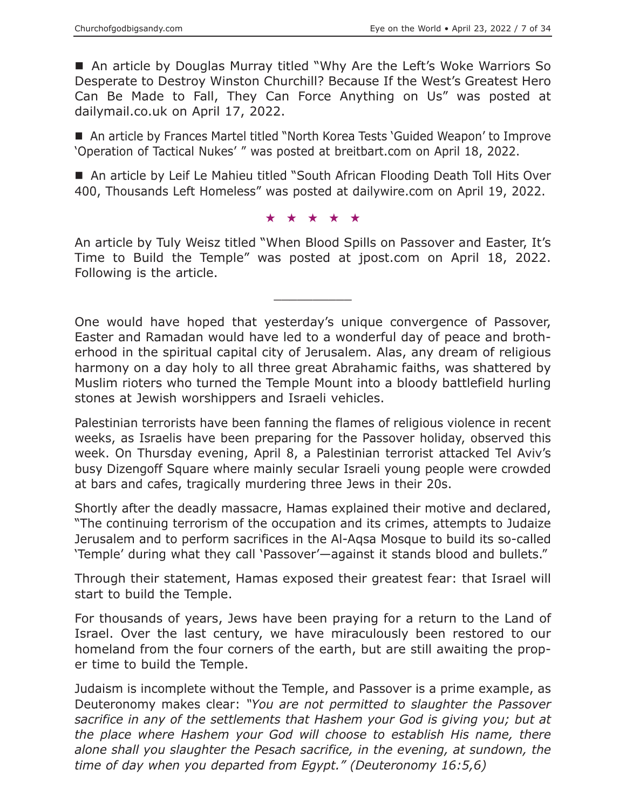■ An article by Douglas Murray titled "Why Are the Left's Woke Warriors So Desperate to Destroy Winston Churchill? Because If the West's Greatest Hero Can Be Made to Fall, They Can Force Anything on Us" was posted at dailymail.co.uk on April 17, 2022.

■ An article by Frances Martel titled "North Korea Tests 'Guided Weapon' to Improve 'Operation of Tactical Nukes' " was posted at breitbart.com on April 18, 2022.

■ An article by Leif Le Mahieu titled "South African Flooding Death Toll Hits Over 400, Thousands Left Homeless" was posted at dailywire.com on April 19, 2022.

★★★★★

An article by Tuly Weisz titled "When Blood Spills on Passover and Easter, It's Time to Build the Temple" was posted at jpost.com on April 18, 2022. Following is the article.

 $\overline{\phantom{a}}$  , where  $\overline{\phantom{a}}$ 

One would have hoped that yesterday's unique convergence of Passover, Easter and Ramadan would have led to a wonderful day of peace and brotherhood in the spiritual capital city of Jerusalem. Alas, any dream of religious harmony on a day holy to all three great Abrahamic faiths, was shattered by Muslim rioters who turned the Temple Mount into a bloody battlefield hurling stones at Jewish worshippers and Israeli vehicles.

Palestinian terrorists have been fanning the flames of religious violence in recent weeks, as Israelis have been preparing for the Passover holiday, observed this week. On Thursday evening, April 8, a Palestinian terrorist attacked Tel Aviv's busy Dizengoff Square where mainly secular Israeli young people were crowded at bars and cafes, tragically murdering three Jews in their 20s.

Shortly after the deadly massacre, Hamas explained their motive and declared, "The continuing terrorism of the occupation and its crimes, attempts to Judaize Jerusalem and to perform sacrifices in the Al-Aqsa Mosque to build its so-called 'Temple' during what they call 'Passover'—against it stands blood and bullets."

Through their statement, Hamas exposed their greatest fear: that Israel will start to build the Temple.

For thousands of years, Jews have been praying for a return to the Land of Israel. Over the last century, we have miraculously been restored to our homeland from the four corners of the earth, but are still awaiting the proper time to build the Temple.

Judaism is incomplete without the Temple, and Passover is a prime example, as Deuteronomy makes clear: *"You are not permitted to slaughter the Passover sacrifice in any of the settlements that Hashem your God is giving you; but at the place where Hashem your God will choose to establish His name, there alone shall you slaughter the Pesach sacrifice, in the evening, at sundown, the time of day when you departed from Egypt." (Deuteronomy 16:5,6)*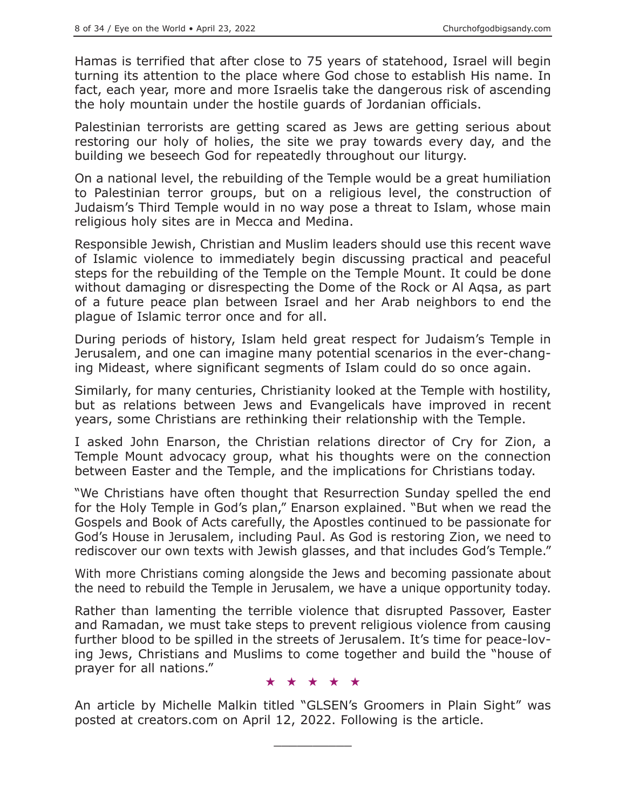Hamas is terrified that after close to 75 years of statehood, Israel will begin turning its attention to the place where God chose to establish His name. In fact, each year, more and more Israelis take the dangerous risk of ascending the holy mountain under the hostile guards of Jordanian officials.

Palestinian terrorists are getting scared as Jews are getting serious about restoring our holy of holies, the site we pray towards every day, and the building we beseech God for repeatedly throughout our liturgy.

On a national level, the rebuilding of the Temple would be a great humiliation to Palestinian terror groups, but on a religious level, the construction of Judaism's Third Temple would in no way pose a threat to Islam, whose main religious holy sites are in Mecca and Medina.

Responsible Jewish, Christian and Muslim leaders should use this recent wave of Islamic violence to immediately begin discussing practical and peaceful steps for the rebuilding of the Temple on the Temple Mount. It could be done without damaging or disrespecting the Dome of the Rock or Al Aqsa, as part of a future peace plan between Israel and her Arab neighbors to end the plague of Islamic terror once and for all.

During periods of history, Islam held great respect for Judaism's Temple in Jerusalem, and one can imagine many potential scenarios in the ever-changing Mideast, where significant segments of Islam could do so once again.

Similarly, for many centuries, Christianity looked at the Temple with hostility, but as relations between Jews and Evangelicals have improved in recent years, some Christians are rethinking their relationship with the Temple.

I asked John Enarson, the Christian relations director of Cry for Zion, a Temple Mount advocacy group, what his thoughts were on the connection between Easter and the Temple, and the implications for Christians today.

"We Christians have often thought that Resurrection Sunday spelled the end for the Holy Temple in God's plan," Enarson explained. "But when we read the Gospels and Book of Acts carefully, the Apostles continued to be passionate for God's House in Jerusalem, including Paul. As God is restoring Zion, we need to rediscover our own texts with Jewish glasses, and that includes God's Temple."

With more Christians coming alongside the Jews and becoming passionate about the need to rebuild the Temple in Jerusalem, we have a unique opportunity today.

Rather than lamenting the terrible violence that disrupted Passover, Easter and Ramadan, we must take steps to prevent religious violence from causing further blood to be spilled in the streets of Jerusalem. It's time for peace-loving Jews, Christians and Muslims to come together and build the "house of prayer for all nations."

★★★★★

An article by Michelle Malkin titled "GLSEN's Groomers in Plain Sight" was posted at creators.com on April 12, 2022. Following is the article.

 $\overline{\phantom{a}}$  , where  $\overline{\phantom{a}}$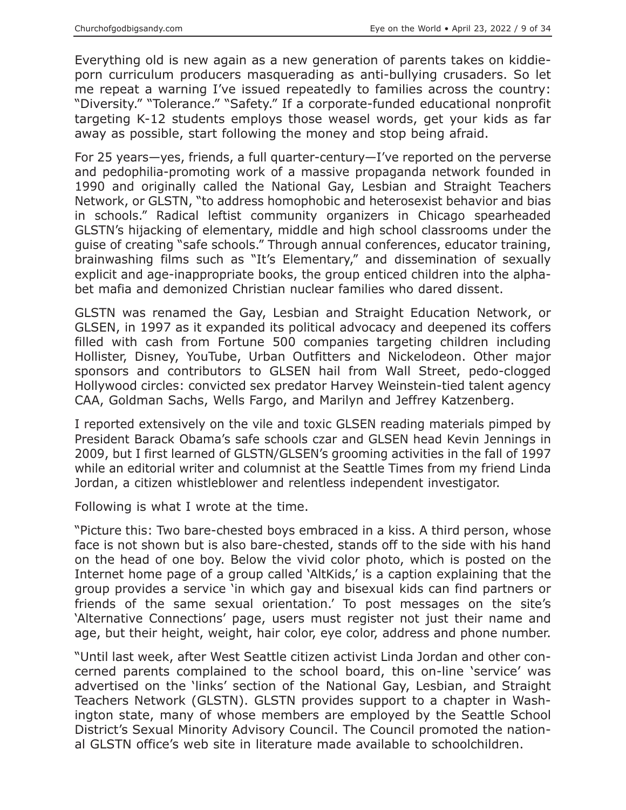Everything old is new again as a new generation of parents takes on kiddieporn curriculum producers masquerading as anti-bullying crusaders. So let me repeat a warning I've issued repeatedly to families across the country: "Diversity." "Tolerance." "Safety." If a corporate-funded educational nonprofit targeting K-12 students employs those weasel words, get your kids as far away as possible, start following the money and stop being afraid.

For 25 years—yes, friends, a full quarter-century—I've reported on the perverse and pedophilia-promoting work of a massive propaganda network founded in 1990 and originally called the National Gay, Lesbian and Straight Teachers Network, or GLSTN, "to address homophobic and heterosexist behavior and bias in schools." Radical leftist community organizers in Chicago spearheaded GLSTN's hijacking of elementary, middle and high school classrooms under the guise of creating "safe schools." Through annual conferences, educator training, brainwashing films such as "It's Elementary," and dissemination of sexually explicit and age-inappropriate books, the group enticed children into the alphabet mafia and demonized Christian nuclear families who dared dissent.

GLSTN was renamed the Gay, Lesbian and Straight Education Network, or GLSEN, in 1997 as it expanded its political advocacy and deepened its coffers filled with cash from Fortune 500 companies targeting children including Hollister, Disney, YouTube, Urban Outfitters and Nickelodeon. Other major sponsors and contributors to GLSEN hail from Wall Street, pedo-clogged Hollywood circles: convicted sex predator Harvey Weinstein-tied talent agency CAA, Goldman Sachs, Wells Fargo, and Marilyn and Jeffrey Katzenberg.

I reported extensively on the vile and toxic GLSEN reading materials pimped by President Barack Obama's safe schools czar and GLSEN head Kevin Jennings in 2009, but I first learned of GLSTN/GLSEN's grooming activities in the fall of 1997 while an editorial writer and columnist at the Seattle Times from my friend Linda Jordan, a citizen whistleblower and relentless independent investigator.

Following is what I wrote at the time.

"Picture this: Two bare-chested boys embraced in a kiss. A third person, whose face is not shown but is also bare-chested, stands off to the side with his hand on the head of one boy. Below the vivid color photo, which is posted on the Internet home page of a group called 'AltKids,' is a caption explaining that the group provides a service 'in which gay and bisexual kids can find partners or friends of the same sexual orientation.' To post messages on the site's 'Alternative Connections' page, users must register not just their name and age, but their height, weight, hair color, eye color, address and phone number.

"Until last week, after West Seattle citizen activist Linda Jordan and other concerned parents complained to the school board, this on-line 'service' was advertised on the 'links' section of the National Gay, Lesbian, and Straight Teachers Network (GLSTN). GLSTN provides support to a chapter in Washington state, many of whose members are employed by the Seattle School District's Sexual Minority Advisory Council. The Council promoted the national GLSTN office's web site in literature made available to schoolchildren.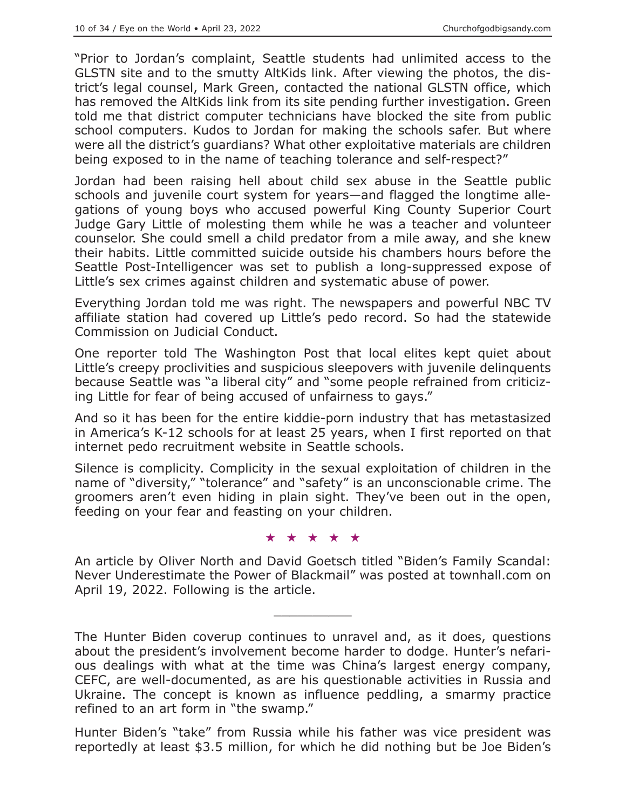"Prior to Jordan's complaint, Seattle students had unlimited access to the GLSTN site and to the smutty AltKids link. After viewing the photos, the district's legal counsel, Mark Green, contacted the national GLSTN office, which has removed the AltKids link from its site pending further investigation. Green told me that district computer technicians have blocked the site from public school computers. Kudos to Jordan for making the schools safer. But where were all the district's guardians? What other exploitative materials are children being exposed to in the name of teaching tolerance and self-respect?"

Jordan had been raising hell about child sex abuse in the Seattle public schools and juvenile court system for years—and flagged the longtime allegations of young boys who accused powerful King County Superior Court Judge Gary Little of molesting them while he was a teacher and volunteer counselor. She could smell a child predator from a mile away, and she knew their habits. Little committed suicide outside his chambers hours before the Seattle Post-Intelligencer was set to publish a long-suppressed expose of Little's sex crimes against children and systematic abuse of power.

Everything Jordan told me was right. The newspapers and powerful NBC TV affiliate station had covered up Little's pedo record. So had the statewide Commission on Judicial Conduct.

One reporter told The Washington Post that local elites kept quiet about Little's creepy proclivities and suspicious sleepovers with juvenile delinquents because Seattle was "a liberal city" and "some people refrained from criticizing Little for fear of being accused of unfairness to gays."

And so it has been for the entire kiddie-porn industry that has metastasized in America's K-12 schools for at least 25 years, when I first reported on that internet pedo recruitment website in Seattle schools.

Silence is complicity. Complicity in the sexual exploitation of children in the name of "diversity," "tolerance" and "safety" is an unconscionable crime. The groomers aren't even hiding in plain sight. They've been out in the open, feeding on your fear and feasting on your children.

#### ★★★★★

An article by Oliver North and David Goetsch titled "Biden's Family Scandal: Never Underestimate the Power of Blackmail" was posted at townhall.com on April 19, 2022. Following is the article.

 $\overline{\phantom{a}}$  , where  $\overline{\phantom{a}}$ 

The Hunter Biden coverup continues to unravel and, as it does, questions about the president's involvement become harder to dodge. Hunter's nefarious dealings with what at the time was China's largest energy company, CEFC, are well-documented, as are his questionable activities in Russia and Ukraine. The concept is known as influence peddling, a smarmy practice refined to an art form in "the swamp."

Hunter Biden's "take" from Russia while his father was vice president was reportedly at least \$3.5 million, for which he did nothing but be Joe Biden's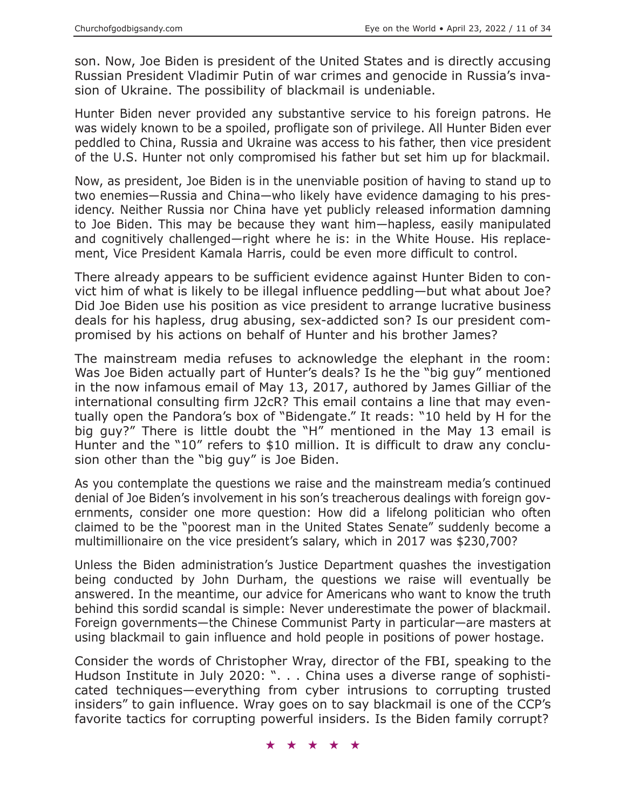son. Now, Joe Biden is president of the United States and is directly accusing Russian President Vladimir Putin of war crimes and genocide in Russia's invasion of Ukraine. The possibility of blackmail is undeniable.

Hunter Biden never provided any substantive service to his foreign patrons. He was widely known to be a spoiled, profligate son of privilege. All Hunter Biden ever peddled to China, Russia and Ukraine was access to his father, then vice president of the U.S. Hunter not only compromised his father but set him up for blackmail.

Now, as president, Joe Biden is in the unenviable position of having to stand up to two enemies—Russia and China—who likely have evidence damaging to his presidency. Neither Russia nor China have yet publicly released information damning to Joe Biden. This may be because they want him—hapless, easily manipulated and cognitively challenged—right where he is: in the White House. His replacement, Vice President Kamala Harris, could be even more difficult to control.

There already appears to be sufficient evidence against Hunter Biden to convict him of what is likely to be illegal influence peddling—but what about Joe? Did Joe Biden use his position as vice president to arrange lucrative business deals for his hapless, drug abusing, sex-addicted son? Is our president compromised by his actions on behalf of Hunter and his brother James?

The mainstream media refuses to acknowledge the elephant in the room: Was Joe Biden actually part of Hunter's deals? Is he the "big guy" mentioned in the now infamous email of May 13, 2017, authored by James Gilliar of the international consulting firm J2cR? This email contains a line that may eventually open the Pandora's box of "Bidengate." It reads: "10 held by H for the big guy?" There is little doubt the "H" mentioned in the May 13 email is Hunter and the "10" refers to \$10 million. It is difficult to draw any conclusion other than the "big guy" is Joe Biden.

As you contemplate the questions we raise and the mainstream media's continued denial of Joe Biden's involvement in his son's treacherous dealings with foreign governments, consider one more question: How did a lifelong politician who often claimed to be the "poorest man in the United States Senate" suddenly become a multimillionaire on the vice president's salary, which in 2017 was \$230,700?

Unless the Biden administration's Justice Department quashes the investigation being conducted by John Durham, the questions we raise will eventually be answered. In the meantime, our advice for Americans who want to know the truth behind this sordid scandal is simple: Never underestimate the power of blackmail. Foreign governments—the Chinese Communist Party in particular—are masters at using blackmail to gain influence and hold people in positions of power hostage.

Consider the words of Christopher Wray, director of the FBI, speaking to the Hudson Institute in July 2020: ". . . China uses a diverse range of sophisticated techniques—everything from cyber intrusions to corrupting trusted insiders" to gain influence. Wray goes on to say blackmail is one of the CCP's favorite tactics for corrupting powerful insiders. Is the Biden family corrupt?

★★★★★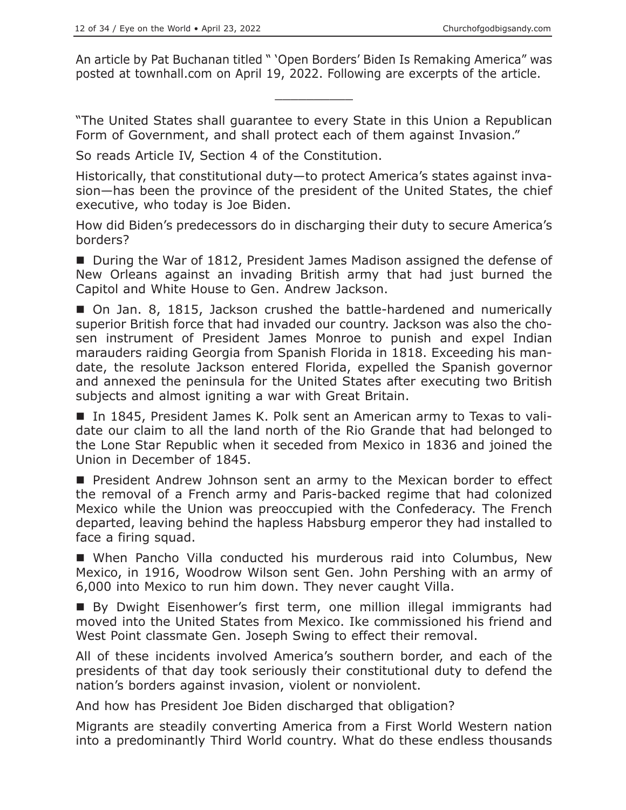An article by Pat Buchanan titled " 'Open Borders' Biden Is Remaking America" was posted at townhall.com on April 19, 2022. Following are excerpts of the article.

 $\overline{\phantom{a}}$  , where  $\overline{\phantom{a}}$ 

"The United States shall guarantee to every State in this Union a Republican Form of Government, and shall protect each of them against Invasion."

So reads Article IV, Section 4 of the Constitution.

Historically, that constitutional duty—to protect America's states against invasion—has been the province of the president of the United States, the chief executive, who today is Joe Biden.

How did Biden's predecessors do in discharging their duty to secure America's borders?

■ During the War of 1812, President James Madison assigned the defense of New Orleans against an invading British army that had just burned the Capitol and White House to Gen. Andrew Jackson.

■ On Jan. 8, 1815, Jackson crushed the battle-hardened and numerically superior British force that had invaded our country. Jackson was also the chosen instrument of President James Monroe to punish and expel Indian marauders raiding Georgia from Spanish Florida in 1818. Exceeding his mandate, the resolute Jackson entered Florida, expelled the Spanish governor and annexed the peninsula for the United States after executing two British subjects and almost igniting a war with Great Britain.

■ In 1845, President James K. Polk sent an American army to Texas to validate our claim to all the land north of the Rio Grande that had belonged to the Lone Star Republic when it seceded from Mexico in 1836 and joined the Union in December of 1845.

**President Andrew Johnson sent an army to the Mexican border to effect** the removal of a French army and Paris-backed regime that had colonized Mexico while the Union was preoccupied with the Confederacy. The French departed, leaving behind the hapless Habsburg emperor they had installed to face a firing squad.

 When Pancho Villa conducted his murderous raid into Columbus, New Mexico, in 1916, Woodrow Wilson sent Gen. John Pershing with an army of 6,000 into Mexico to run him down. They never caught Villa.

By Dwight Eisenhower's first term, one million illegal immigrants had moved into the United States from Mexico. Ike commissioned his friend and West Point classmate Gen. Joseph Swing to effect their removal.

All of these incidents involved America's southern border, and each of the presidents of that day took seriously their constitutional duty to defend the nation's borders against invasion, violent or nonviolent.

And how has President Joe Biden discharged that obligation?

Migrants are steadily converting America from a First World Western nation into a predominantly Third World country. What do these endless thousands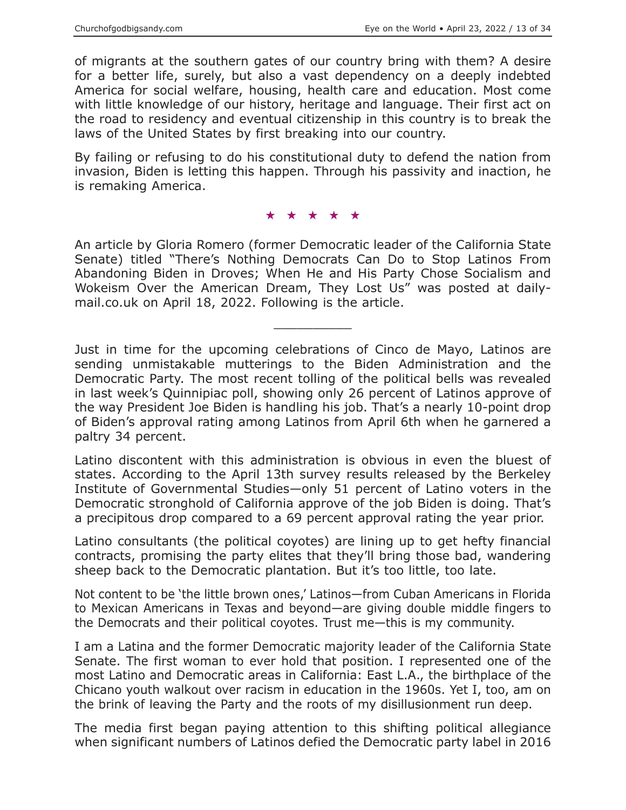of migrants at the southern gates of our country bring with them? A desire for a better life, surely, but also a vast dependency on a deeply indebted America for social welfare, housing, health care and education. Most come with little knowledge of our history, heritage and language. Their first act on the road to residency and eventual citizenship in this country is to break the laws of the United States by first breaking into our country.

By failing or refusing to do his constitutional duty to defend the nation from invasion, Biden is letting this happen. Through his passivity and inaction, he is remaking America.

#### ★★★★★

An article by Gloria Romero (former Democratic leader of the California State Senate) titled "There's Nothing Democrats Can Do to Stop Latinos From Abandoning Biden in Droves; When He and His Party Chose Socialism and Wokeism Over the American Dream, They Lost Us" was posted at dailymail.co.uk on April 18, 2022. Following is the article.

 $\overline{\phantom{a}}$  , where  $\overline{\phantom{a}}$ 

Just in time for the upcoming celebrations of Cinco de Mayo, Latinos are sending unmistakable mutterings to the Biden Administration and the Democratic Party. The most recent tolling of the political bells was revealed in last week's Quinnipiac poll, showing only 26 percent of Latinos approve of the way President Joe Biden is handling his job. That's a nearly 10-point drop of Biden's approval rating among Latinos from April 6th when he garnered a paltry 34 percent.

Latino discontent with this administration is obvious in even the bluest of states. According to the April 13th survey results released by the Berkeley Institute of Governmental Studies—only 51 percent of Latino voters in the Democratic stronghold of California approve of the job Biden is doing. That's a precipitous drop compared to a 69 percent approval rating the year prior.

Latino consultants (the political coyotes) are lining up to get hefty financial contracts, promising the party elites that they'll bring those bad, wandering sheep back to the Democratic plantation. But it's too little, too late.

Not content to be 'the little brown ones,' Latinos—from Cuban Americans in Florida to Mexican Americans in Texas and beyond—are giving double middle fingers to the Democrats and their political coyotes. Trust me—this is my community.

I am a Latina and the former Democratic majority leader of the California State Senate. The first woman to ever hold that position. I represented one of the most Latino and Democratic areas in California: East L.A., the birthplace of the Chicano youth walkout over racism in education in the 1960s. Yet I, too, am on the brink of leaving the Party and the roots of my disillusionment run deep.

The media first began paying attention to this shifting political allegiance when significant numbers of Latinos defied the Democratic party label in 2016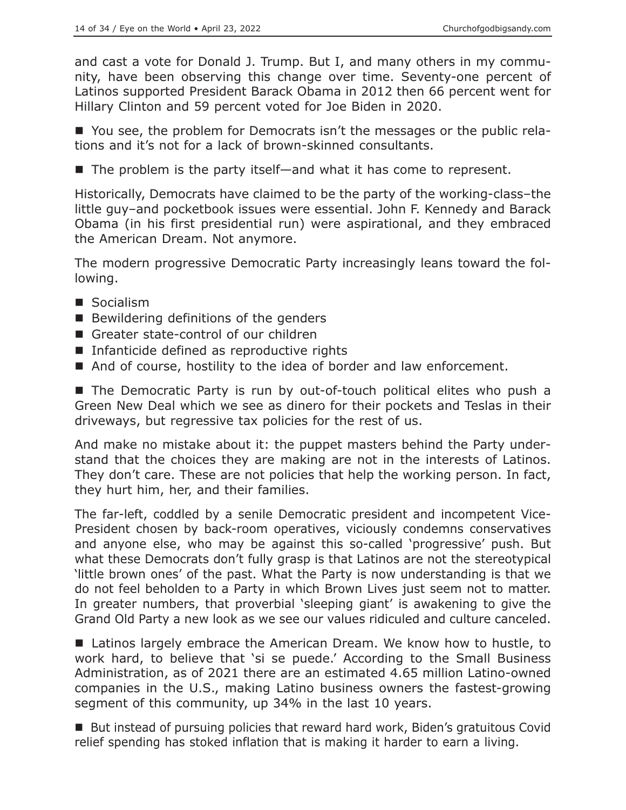and cast a vote for Donald J. Trump. But I, and many others in my community, have been observing this change over time. Seventy-one percent of Latinos supported President Barack Obama in 2012 then 66 percent went for Hillary Clinton and 59 percent voted for Joe Biden in 2020.

■ You see, the problem for Democrats isn't the messages or the public relations and it's not for a lack of brown-skinned consultants.

■ The problem is the party itself—and what it has come to represent.

Historically, Democrats have claimed to be the party of the working-class–the little guy–and pocketbook issues were essential. John F. Kennedy and Barack Obama (in his first presidential run) were aspirational, and they embraced the American Dream. Not anymore.

The modern progressive Democratic Party increasingly leans toward the following.

- Socialism
- Bewildering definitions of the genders
- Greater state-control of our children
- Infanticide defined as reproductive rights
- And of course, hostility to the idea of border and law enforcement.

 The Democratic Party is run by out-of-touch political elites who push a Green New Deal which we see as dinero for their pockets and Teslas in their driveways, but regressive tax policies for the rest of us.

And make no mistake about it: the puppet masters behind the Party understand that the choices they are making are not in the interests of Latinos. They don't care. These are not policies that help the working person. In fact, they hurt him, her, and their families.

The far-left, coddled by a senile Democratic president and incompetent Vice-President chosen by back-room operatives, viciously condemns conservatives and anyone else, who may be against this so-called 'progressive' push. But what these Democrats don't fully grasp is that Latinos are not the stereotypical 'little brown ones' of the past. What the Party is now understanding is that we do not feel beholden to a Party in which Brown Lives just seem not to matter. In greater numbers, that proverbial 'sleeping giant' is awakening to give the Grand Old Party a new look as we see our values ridiculed and culture canceled.

■ Latinos largely embrace the American Dream. We know how to hustle, to work hard, to believe that 'si se puede.' According to the Small Business Administration, as of 2021 there are an estimated 4.65 million Latino-owned companies in the U.S., making Latino business owners the fastest-growing segment of this community, up 34% in the last 10 years.

■ But instead of pursuing policies that reward hard work, Biden's gratuitous Covid relief spending has stoked inflation that is making it harder to earn a living.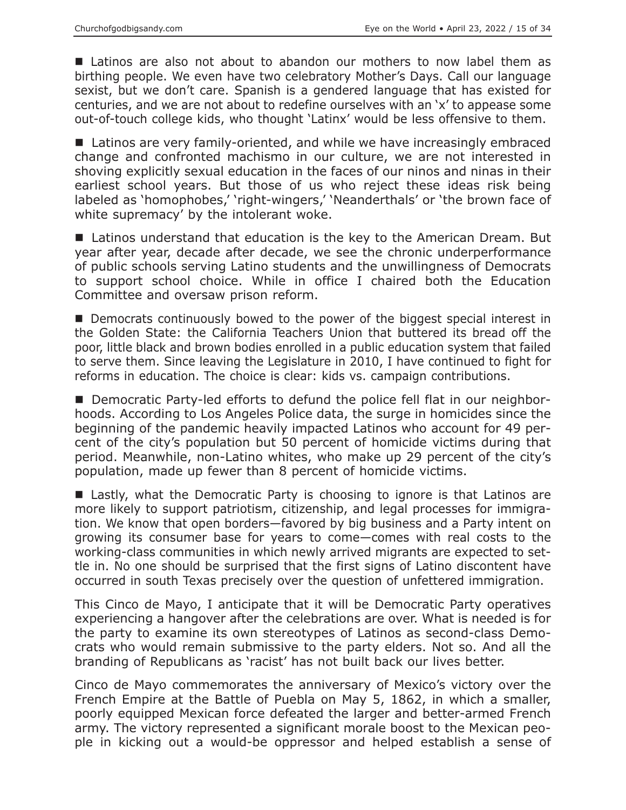■ Latinos are also not about to abandon our mothers to now label them as birthing people. We even have two celebratory Mother's Days. Call our language sexist, but we don't care. Spanish is a gendered language that has existed for centuries, and we are not about to redefine ourselves with an 'x' to appease some out-of-touch college kids, who thought 'Latinx' would be less offensive to them.

■ Latinos are very family-oriented, and while we have increasingly embraced change and confronted machismo in our culture, we are not interested in shoving explicitly sexual education in the faces of our ninos and ninas in their earliest school years. But those of us who reject these ideas risk being labeled as 'homophobes,' 'right-wingers,' 'Neanderthals' or 'the brown face of white supremacy' by the intolerant woke.

■ Latinos understand that education is the key to the American Dream. But year after year, decade after decade, we see the chronic underperformance of public schools serving Latino students and the unwillingness of Democrats to support school choice. While in office I chaired both the Education Committee and oversaw prison reform.

 Democrats continuously bowed to the power of the biggest special interest in the Golden State: the California Teachers Union that buttered its bread off the poor, little black and brown bodies enrolled in a public education system that failed to serve them. Since leaving the Legislature in 2010, I have continued to fight for reforms in education. The choice is clear: kids vs. campaign contributions.

■ Democratic Party-led efforts to defund the police fell flat in our neighborhoods. According to Los Angeles Police data, the surge in homicides since the beginning of the pandemic heavily impacted Latinos who account for 49 percent of the city's population but 50 percent of homicide victims during that period. Meanwhile, non-Latino whites, who make up 29 percent of the city's population, made up fewer than 8 percent of homicide victims.

■ Lastly, what the Democratic Party is choosing to ignore is that Latinos are more likely to support patriotism, citizenship, and legal processes for immigration. We know that open borders—favored by big business and a Party intent on growing its consumer base for years to come—comes with real costs to the working-class communities in which newly arrived migrants are expected to settle in. No one should be surprised that the first signs of Latino discontent have occurred in south Texas precisely over the question of unfettered immigration.

This Cinco de Mayo, I anticipate that it will be Democratic Party operatives experiencing a hangover after the celebrations are over. What is needed is for the party to examine its own stereotypes of Latinos as second-class Democrats who would remain submissive to the party elders. Not so. And all the branding of Republicans as 'racist' has not built back our lives better.

Cinco de Mayo commemorates the anniversary of Mexico's victory over the French Empire at the Battle of Puebla on May 5, 1862, in which a smaller, poorly equipped Mexican force defeated the larger and better-armed French army. The victory represented a significant morale boost to the Mexican people in kicking out a would-be oppressor and helped establish a sense of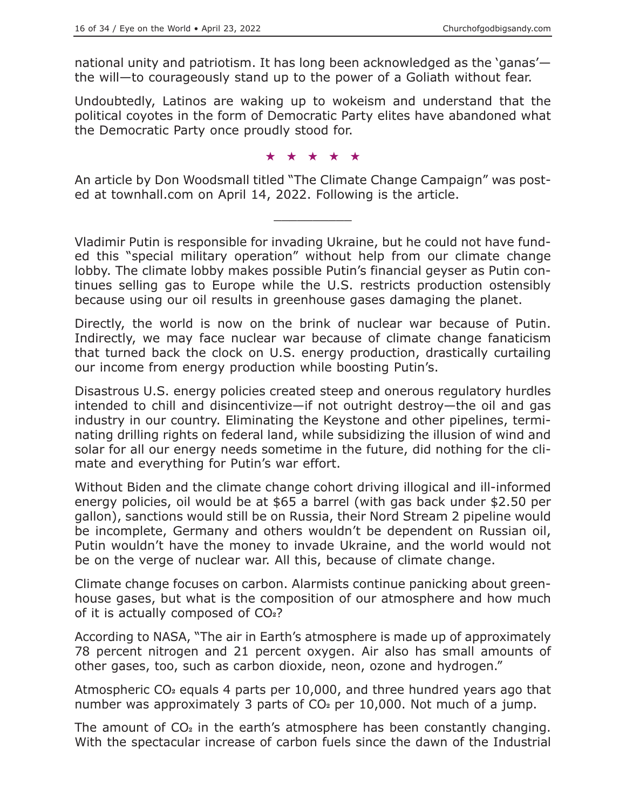national unity and patriotism. It has long been acknowledged as the 'ganas' the will—to courageously stand up to the power of a Goliath without fear.

Undoubtedly, Latinos are waking up to wokeism and understand that the political coyotes in the form of Democratic Party elites have abandoned what the Democratic Party once proudly stood for.

#### ★★★★★

An article by Don Woodsmall titled "The Climate Change Campaign" was posted at townhall.com on April 14, 2022. Following is the article.

 $\overline{\phantom{a}}$  , where  $\overline{\phantom{a}}$ 

Vladimir Putin is responsible for invading Ukraine, but he could not have funded this "special military operation" without help from our climate change lobby. The climate lobby makes possible Putin's financial geyser as Putin continues selling gas to Europe while the U.S. restricts production ostensibly because using our oil results in greenhouse gases damaging the planet.

Directly, the world is now on the brink of nuclear war because of Putin. Indirectly, we may face nuclear war because of climate change fanaticism that turned back the clock on U.S. energy production, drastically curtailing our income from energy production while boosting Putin's.

Disastrous U.S. energy policies created steep and onerous regulatory hurdles intended to chill and disincentivize—if not outright destroy—the oil and gas industry in our country. Eliminating the Keystone and other pipelines, terminating drilling rights on federal land, while subsidizing the illusion of wind and solar for all our energy needs sometime in the future, did nothing for the climate and everything for Putin's war effort.

Without Biden and the climate change cohort driving illogical and ill-informed energy policies, oil would be at \$65 a barrel (with gas back under \$2.50 per gallon), sanctions would still be on Russia, their Nord Stream 2 pipeline would be incomplete, Germany and others wouldn't be dependent on Russian oil, Putin wouldn't have the money to invade Ukraine, and the world would not be on the verge of nuclear war. All this, because of climate change.

Climate change focuses on carbon. Alarmists continue panicking about greenhouse gases, but what is the composition of our atmosphere and how much of it is actually composed of CO**2**?

According to NASA, "The air in Earth's atmosphere is made up of approximately 78 percent nitrogen and 21 percent oxygen. Air also has small amounts of other gases, too, such as carbon dioxide, neon, ozone and hydrogen."

Atmospheric CO**<sup>2</sup>** equals 4 parts per 10,000, and three hundred years ago that number was approximately 3 parts of  $CO<sub>2</sub>$  per 10,000. Not much of a jump.

The amount of CO**<sup>2</sup>** in the earth's atmosphere has been constantly changing. With the spectacular increase of carbon fuels since the dawn of the Industrial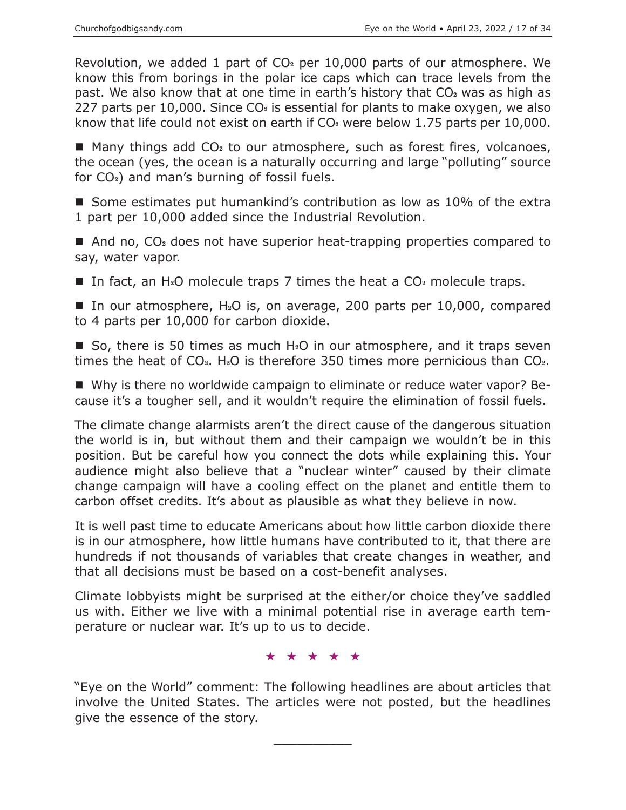Revolution, we added 1 part of CO**<sup>2</sup>** per 10,000 parts of our atmosphere. We know this from borings in the polar ice caps which can trace levels from the past. We also know that at one time in earth's history that CO<sub>2</sub> was as high as 227 parts per 10,000. Since CO**<sup>2</sup>** is essential for plants to make oxygen, we also know that life could not exist on earth if CO**<sup>2</sup>** were below 1.75 parts per 10,000.

■ Many things add CO<sub>2</sub> to our atmosphere, such as forest fires, volcanoes, the ocean (yes, the ocean is a naturally occurring and large "polluting" source for CO**2**) and man's burning of fossil fuels.

■ Some estimates put humankind's contribution as low as 10% of the extra 1 part per 10,000 added since the Industrial Revolution.

■ And no, CO<sub>2</sub> does not have superior heat-trapping properties compared to say, water vapor.

■ In fact, an H<sub>2</sub>O molecule traps 7 times the heat a CO<sub>2</sub> molecule traps.

■ In our atmosphere, H<sub>2</sub>O is, on average, 200 parts per 10,000, compared to 4 parts per 10,000 for carbon dioxide.

■ So, there is 50 times as much H<sub>2</sub>O in our atmosphere, and it traps seven times the heat of CO**2**. H**2**O is therefore 350 times more pernicious than CO**2**.

 Why is there no worldwide campaign to eliminate or reduce water vapor? Because it's a tougher sell, and it wouldn't require the elimination of fossil fuels.

The climate change alarmists aren't the direct cause of the dangerous situation the world is in, but without them and their campaign we wouldn't be in this position. But be careful how you connect the dots while explaining this. Your audience might also believe that a "nuclear winter" caused by their climate change campaign will have a cooling effect on the planet and entitle them to carbon offset credits. It's about as plausible as what they believe in now.

It is well past time to educate Americans about how little carbon dioxide there is in our atmosphere, how little humans have contributed to it, that there are hundreds if not thousands of variables that create changes in weather, and that all decisions must be based on a cost-benefit analyses.

Climate lobbyists might be surprised at the either/or choice they've saddled us with. Either we live with a minimal potential rise in average earth temperature or nuclear war. It's up to us to decide.

★★★★★

"Eye on the World" comment: The following headlines are about articles that involve the United States. The articles were not posted, but the headlines give the essence of the story.

 $\overline{\phantom{a}}$  , where  $\overline{\phantom{a}}$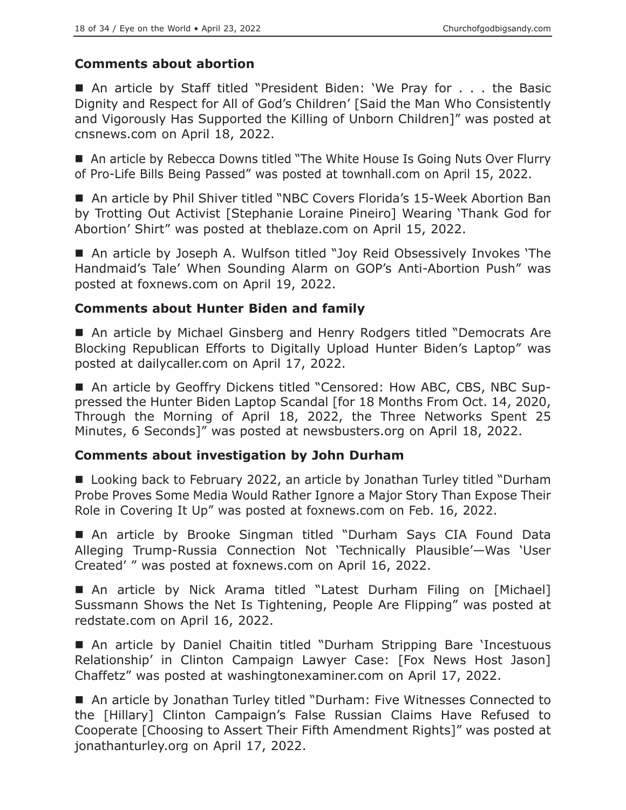# **Comments about abortion**

 An article by Staff titled "President Biden: 'We Pray for . . . the Basic Dignity and Respect for All of God's Children' [Said the Man Who Consistently and Vigorously Has Supported the Killing of Unborn Children]" was posted at cnsnews.com on April 18, 2022.

■ An article by Rebecca Downs titled "The White House Is Going Nuts Over Flurry of Pro-Life Bills Being Passed" was posted at townhall.com on April 15, 2022.

■ An article by Phil Shiver titled "NBC Covers Florida's 15-Week Abortion Ban by Trotting Out Activist [Stephanie Loraine Pineiro] Wearing 'Thank God for Abortion' Shirt" was posted at theblaze.com on April 15, 2022.

 An article by Joseph A. Wulfson titled "Joy Reid Obsessively Invokes 'The Handmaid's Tale' When Sounding Alarm on GOP's Anti-Abortion Push" was posted at foxnews.com on April 19, 2022.

# **Comments about Hunter Biden and family**

■ An article by Michael Ginsberg and Henry Rodgers titled "Democrats Are Blocking Republican Efforts to Digitally Upload Hunter Biden's Laptop" was posted at dailycaller.com on April 17, 2022.

■ An article by Geoffry Dickens titled "Censored: How ABC, CBS, NBC Suppressed the Hunter Biden Laptop Scandal [for 18 Months From Oct. 14, 2020, Through the Morning of April 18, 2022, the Three Networks Spent 25 Minutes, 6 Seconds]" was posted at newsbusters.org on April 18, 2022.

# **Comments about investigation by John Durham**

■ Looking back to February 2022, an article by Jonathan Turley titled "Durham Probe Proves Some Media Would Rather Ignore a Major Story Than Expose Their Role in Covering It Up" was posted at foxnews.com on Feb. 16, 2022.

 An article by Brooke Singman titled "Durham Says CIA Found Data Alleging Trump-Russia Connection Not 'Technically Plausible'—Was 'User Created' " was posted at foxnews.com on April 16, 2022.

■ An article by Nick Arama titled "Latest Durham Filing on [Michael] Sussmann Shows the Net Is Tightening, People Are Flipping" was posted at redstate.com on April 16, 2022.

 An article by Daniel Chaitin titled "Durham Stripping Bare 'Incestuous Relationship' in Clinton Campaign Lawyer Case: [Fox News Host Jason] Chaffetz" was posted at washingtonexaminer.com on April 17, 2022.

■ An article by Jonathan Turley titled "Durham: Five Witnesses Connected to the [Hillary] Clinton Campaign's False Russian Claims Have Refused to Cooperate [Choosing to Assert Their Fifth Amendment Rights]" was posted at jonathanturley.org on April 17, 2022.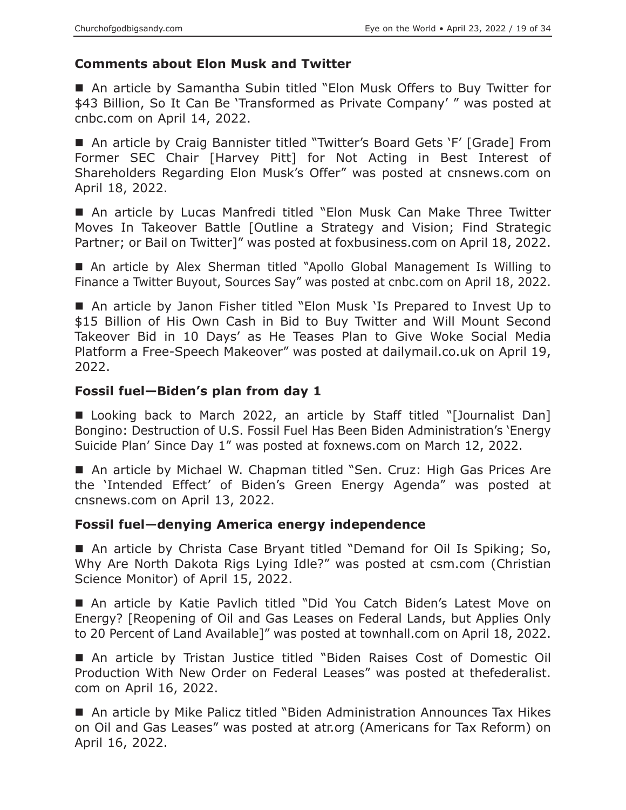# **Comments about Elon Musk and Twitter**

■ An article by Samantha Subin titled "Elon Musk Offers to Buy Twitter for \$43 Billion, So It Can Be 'Transformed as Private Company' " was posted at cnbc.com on April 14, 2022.

■ An article by Craig Bannister titled "Twitter's Board Gets 'F' [Grade] From Former SEC Chair [Harvey Pitt] for Not Acting in Best Interest of Shareholders Regarding Elon Musk's Offer" was posted at cnsnews.com on April 18, 2022.

 An article by Lucas Manfredi titled "Elon Musk Can Make Three Twitter Moves In Takeover Battle [Outline a Strategy and Vision; Find Strategic Partner; or Bail on Twitter]" was posted at foxbusiness.com on April 18, 2022.

 An article by Alex Sherman titled "Apollo Global Management Is Willing to Finance a Twitter Buyout, Sources Say" was posted at cnbc.com on April 18, 2022.

■ An article by Janon Fisher titled "Elon Musk 'Is Prepared to Invest Up to \$15 Billion of His Own Cash in Bid to Buy Twitter and Will Mount Second Takeover Bid in 10 Days' as He Teases Plan to Give Woke Social Media Platform a Free-Speech Makeover" was posted at dailymail.co.uk on April 19, 2022.

# **Fossil fuel—Biden's plan from day 1**

■ Looking back to March 2022, an article by Staff titled "[Journalist Dan] Bongino: Destruction of U.S. Fossil Fuel Has Been Biden Administration's 'Energy Suicide Plan' Since Day 1" was posted at foxnews.com on March 12, 2022.

■ An article by Michael W. Chapman titled "Sen. Cruz: High Gas Prices Are the 'Intended Effect' of Biden's Green Energy Agenda" was posted at cnsnews.com on April 13, 2022.

# **Fossil fuel—denying America energy independence**

■ An article by Christa Case Bryant titled "Demand for Oil Is Spiking; So, Why Are North Dakota Rigs Lying Idle?" was posted at csm.com (Christian Science Monitor) of April 15, 2022.

■ An article by Katie Pavlich titled "Did You Catch Biden's Latest Move on Energy? [Reopening of Oil and Gas Leases on Federal Lands, but Applies Only to 20 Percent of Land Available]" was posted at townhall.com on April 18, 2022.

 An article by Tristan Justice titled "Biden Raises Cost of Domestic Oil Production With New Order on Federal Leases" was posted at thefederalist. com on April 16, 2022.

■ An article by Mike Palicz titled "Biden Administration Announces Tax Hikes on Oil and Gas Leases" was posted at atr.org (Americans for Tax Reform) on April 16, 2022.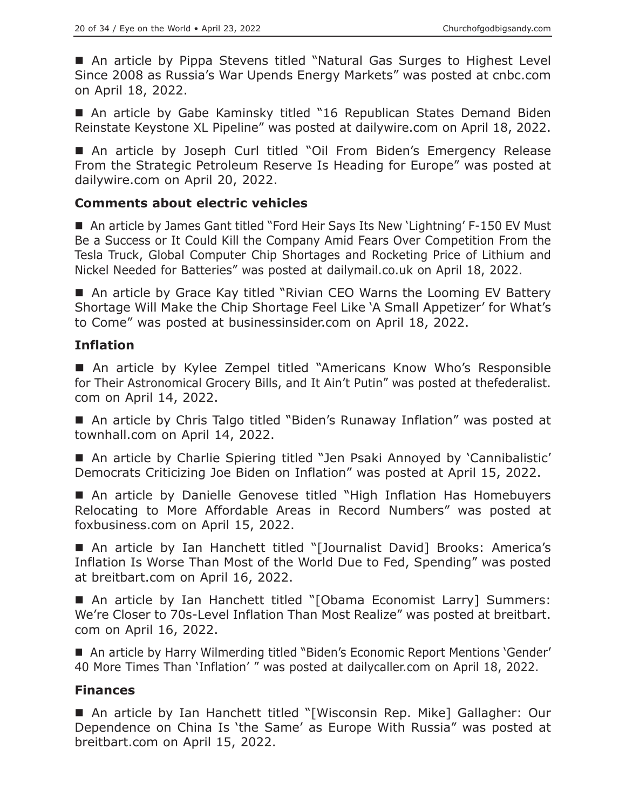■ An article by Pippa Stevens titled "Natural Gas Surges to Highest Level Since 2008 as Russia's War Upends Energy Markets" was posted at cnbc.com on April 18, 2022.

■ An article by Gabe Kaminsky titled "16 Republican States Demand Biden Reinstate Keystone XL Pipeline" was posted at dailywire.com on April 18, 2022.

■ An article by Joseph Curl titled "Oil From Biden's Emergency Release From the Strategic Petroleum Reserve Is Heading for Europe" was posted at dailywire.com on April 20, 2022.

# **Comments about electric vehicles**

■ An article by James Gant titled "Ford Heir Says Its New 'Lightning' F-150 EV Must Be a Success or It Could Kill the Company Amid Fears Over Competition From the Tesla Truck, Global Computer Chip Shortages and Rocketing Price of Lithium and Nickel Needed for Batteries" was posted at dailymail.co.uk on April 18, 2022.

■ An article by Grace Kay titled "Rivian CEO Warns the Looming EV Battery Shortage Will Make the Chip Shortage Feel Like 'A Small Appetizer' for What's to Come" was posted at businessinsider.com on April 18, 2022.

# **Inflation**

 An article by Kylee Zempel titled "Americans Know Who's Responsible for Their Astronomical Grocery Bills, and It Ain't Putin" was posted at thefederalist. com on April 14, 2022.

■ An article by Chris Talgo titled "Biden's Runaway Inflation" was posted at townhall.com on April 14, 2022.

 An article by Charlie Spiering titled "Jen Psaki Annoyed by 'Cannibalistic' Democrats Criticizing Joe Biden on Inflation" was posted at April 15, 2022.

■ An article by Danielle Genovese titled "High Inflation Has Homebuyers Relocating to More Affordable Areas in Record Numbers" was posted at foxbusiness.com on April 15, 2022.

 An article by Ian Hanchett titled "[Journalist David] Brooks: America's Inflation Is Worse Than Most of the World Due to Fed, Spending" was posted at breitbart.com on April 16, 2022.

An article by Ian Hanchett titled "[Obama Economist Larry] Summers: We're Closer to 70s-Level Inflation Than Most Realize" was posted at breitbart. com on April 16, 2022.

■ An article by Harry Wilmerding titled "Biden's Economic Report Mentions 'Gender' 40 More Times Than 'Inflation' " was posted at dailycaller.com on April 18, 2022.

# **Finances**

 An article by Ian Hanchett titled "[Wisconsin Rep. Mike] Gallagher: Our Dependence on China Is 'the Same' as Europe With Russia" was posted at breitbart.com on April 15, 2022.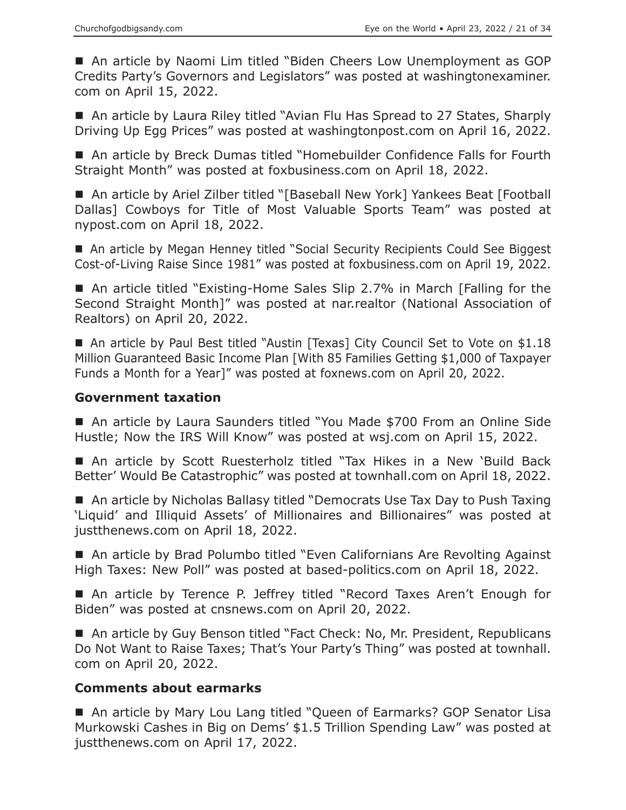An article by Naomi Lim titled "Biden Cheers Low Unemployment as GOP Credits Party's Governors and Legislators" was posted at washingtonexaminer. com on April 15, 2022.

■ An article by Laura Riley titled "Avian Flu Has Spread to 27 States, Sharply Driving Up Egg Prices" was posted at washingtonpost.com on April 16, 2022.

■ An article by Breck Dumas titled "Homebuilder Confidence Falls for Fourth Straight Month" was posted at foxbusiness.com on April 18, 2022.

■ An article by Ariel Zilber titled "[Baseball New York] Yankees Beat [Football Dallas] Cowboys for Title of Most Valuable Sports Team" was posted at nypost.com on April 18, 2022.

■ An article by Megan Henney titled "Social Security Recipients Could See Biggest Cost-of-Living Raise Since 1981" was posted at foxbusiness.com on April 19, 2022.

■ An article titled "Existing-Home Sales Slip 2.7% in March [Falling for the Second Straight Month]" was posted at nar.realtor (National Association of Realtors) on April 20, 2022.

■ An article by Paul Best titled "Austin [Texas] City Council Set to Vote on \$1.18 Million Guaranteed Basic Income Plan [With 85 Families Getting \$1,000 of Taxpayer Funds a Month for a Year]" was posted at foxnews.com on April 20, 2022.

# **Government taxation**

■ An article by Laura Saunders titled "You Made \$700 From an Online Side Hustle; Now the IRS Will Know" was posted at wsj.com on April 15, 2022.

 An article by Scott Ruesterholz titled "Tax Hikes in a New 'Build Back Better' Would Be Catastrophic" was posted at townhall.com on April 18, 2022.

■ An article by Nicholas Ballasy titled "Democrats Use Tax Day to Push Taxing 'Liquid' and Illiquid Assets' of Millionaires and Billionaires" was posted at justthenews.com on April 18, 2022.

■ An article by Brad Polumbo titled "Even Californians Are Revolting Against High Taxes: New Poll" was posted at based-politics.com on April 18, 2022.

■ An article by Terence P. Jeffrey titled "Record Taxes Aren't Enough for Biden" was posted at cnsnews.com on April 20, 2022.

■ An article by Guy Benson titled "Fact Check: No, Mr. President, Republicans Do Not Want to Raise Taxes; That's Your Party's Thing" was posted at townhall. com on April 20, 2022.

# **Comments about earmarks**

■ An article by Mary Lou Lang titled "Queen of Earmarks? GOP Senator Lisa Murkowski Cashes in Big on Dems' \$1.5 Trillion Spending Law" was posted at justthenews.com on April 17, 2022.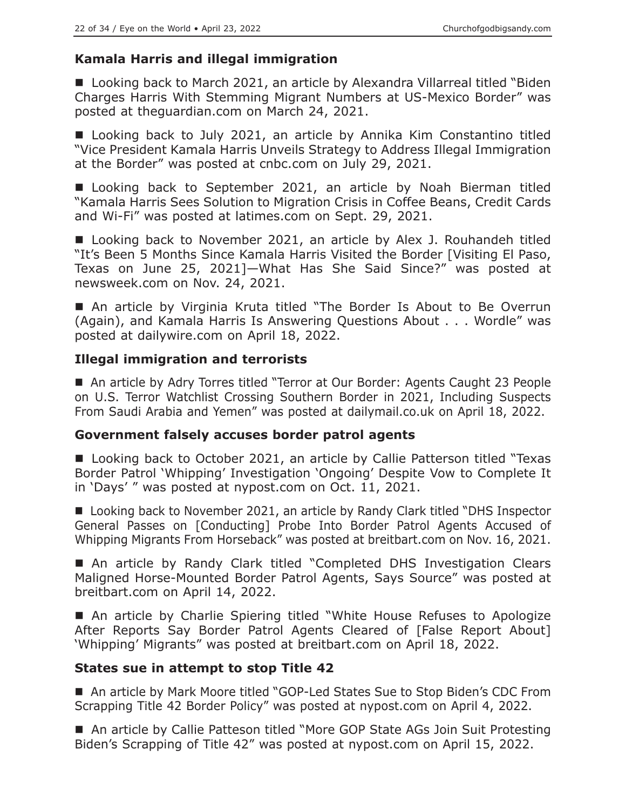# **Kamala Harris and illegal immigration**

■ Looking back to March 2021, an article by Alexandra Villarreal titled "Biden Charges Harris With Stemming Migrant Numbers at US-Mexico Border" was posted at theguardian.com on March 24, 2021.

■ Looking back to July 2021, an article by Annika Kim Constantino titled "Vice President Kamala Harris Unveils Strategy to Address Illegal Immigration at the Border" was posted at cnbc.com on July 29, 2021.

■ Looking back to September 2021, an article by Noah Bierman titled "Kamala Harris Sees Solution to Migration Crisis in Coffee Beans, Credit Cards and Wi-Fi" was posted at latimes.com on Sept. 29, 2021.

■ Looking back to November 2021, an article by Alex J. Rouhandeh titled "It's Been 5 Months Since Kamala Harris Visited the Border [Visiting El Paso, Texas on June 25, 2021]—What Has She Said Since?" was posted at newsweek.com on Nov. 24, 2021.

 An article by Virginia Kruta titled "The Border Is About to Be Overrun (Again), and Kamala Harris Is Answering Questions About . . . Wordle" was posted at dailywire.com on April 18, 2022.

# **Illegal immigration and terrorists**

■ An article by Adry Torres titled "Terror at Our Border: Agents Caught 23 People on U.S. Terror Watchlist Crossing Southern Border in 2021, Including Suspects From Saudi Arabia and Yemen" was posted at dailymail.co.uk on April 18, 2022.

# **Government falsely accuses border patrol agents**

■ Looking back to October 2021, an article by Callie Patterson titled "Texas Border Patrol 'Whipping' Investigation 'Ongoing' Despite Vow to Complete It in 'Days' " was posted at nypost.com on Oct. 11, 2021.

■ Looking back to November 2021, an article by Randy Clark titled "DHS Inspector General Passes on [Conducting] Probe Into Border Patrol Agents Accused of Whipping Migrants From Horseback" was posted at breitbart.com on Nov. 16, 2021.

■ An article by Randy Clark titled "Completed DHS Investigation Clears Maligned Horse-Mounted Border Patrol Agents, Says Source" was posted at breitbart.com on April 14, 2022.

■ An article by Charlie Spiering titled "White House Refuses to Apologize After Reports Say Border Patrol Agents Cleared of [False Report About] 'Whipping' Migrants" was posted at breitbart.com on April 18, 2022.

# **States sue in attempt to stop Title 42**

■ An article by Mark Moore titled "GOP-Led States Sue to Stop Biden's CDC From Scrapping Title 42 Border Policy" was posted at nypost.com on April 4, 2022.

■ An article by Callie Patteson titled "More GOP State AGs Join Suit Protesting Biden's Scrapping of Title 42" was posted at nypost.com on April 15, 2022.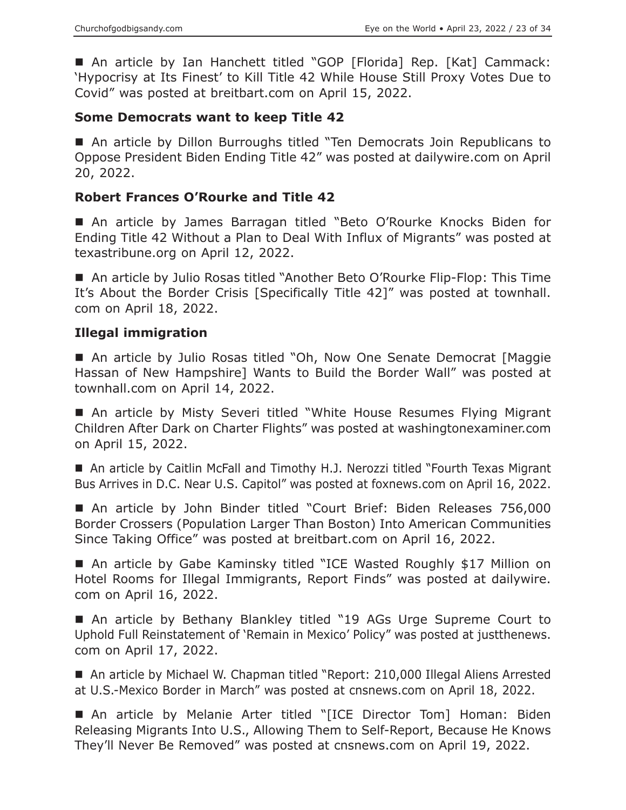■ An article by Ian Hanchett titled "GOP [Florida] Rep. [Kat] Cammack: 'Hypocrisy at Its Finest' to Kill Title 42 While House Still Proxy Votes Due to Covid" was posted at breitbart.com on April 15, 2022.

## **Some Democrats want to keep Title 42**

■ An article by Dillon Burroughs titled "Ten Democrats Join Republicans to Oppose President Biden Ending Title 42" was posted at dailywire.com on April 20, 2022.

## **Robert Frances O'Rourke and Title 42**

 An article by James Barragan titled "Beto O'Rourke Knocks Biden for Ending Title 42 Without a Plan to Deal With Influx of Migrants" was posted at texastribune.org on April 12, 2022.

■ An article by Julio Rosas titled "Another Beto O'Rourke Flip-Flop: This Time It's About the Border Crisis [Specifically Title 42]" was posted at townhall. com on April 18, 2022.

## **Illegal immigration**

■ An article by Julio Rosas titled "Oh, Now One Senate Democrat [Maggie Hassan of New Hampshire] Wants to Build the Border Wall" was posted at townhall.com on April 14, 2022.

■ An article by Misty Severi titled "White House Resumes Flying Migrant Children After Dark on Charter Flights" was posted at washingtonexaminer.com on April 15, 2022.

■ An article by Caitlin McFall and Timothy H.J. Nerozzi titled "Fourth Texas Migrant Bus Arrives in D.C. Near U.S. Capitol" was posted at foxnews.com on April 16, 2022.

 An article by John Binder titled "Court Brief: Biden Releases 756,000 Border Crossers (Population Larger Than Boston) Into American Communities Since Taking Office" was posted at breitbart.com on April 16, 2022.

■ An article by Gabe Kaminsky titled "ICE Wasted Roughly \$17 Million on Hotel Rooms for Illegal Immigrants, Report Finds" was posted at dailywire. com on April 16, 2022.

 An article by Bethany Blankley titled "19 AGs Urge Supreme Court to Uphold Full Reinstatement of 'Remain in Mexico' Policy" was posted at justthenews. com on April 17, 2022.

■ An article by Michael W. Chapman titled "Report: 210,000 Illegal Aliens Arrested at U.S.-Mexico Border in March" was posted at cnsnews.com on April 18, 2022.

 An article by Melanie Arter titled "[ICE Director Tom] Homan: Biden Releasing Migrants Into U.S., Allowing Them to Self-Report, Because He Knows They'll Never Be Removed" was posted at cnsnews.com on April 19, 2022.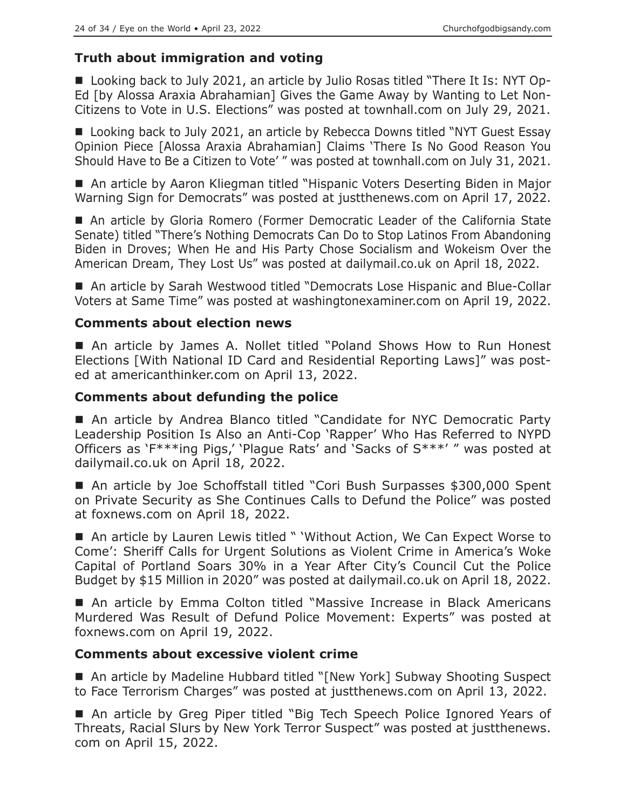# **Truth about immigration and voting**

■ Looking back to July 2021, an article by Julio Rosas titled "There It Is: NYT Op-Ed [by Alossa Araxia Abrahamian] Gives the Game Away by Wanting to Let Non-Citizens to Vote in U.S. Elections" was posted at townhall.com on July 29, 2021.

■ Looking back to July 2021, an article by Rebecca Downs titled "NYT Guest Essay Opinion Piece [Alossa Araxia Abrahamian] Claims 'There Is No Good Reason You Should Have to Be a Citizen to Vote' " was posted at townhall.com on July 31, 2021.

■ An article by Aaron Kliegman titled "Hispanic Voters Deserting Biden in Major Warning Sign for Democrats" was posted at justthenews.com on April 17, 2022.

■ An article by Gloria Romero (Former Democratic Leader of the California State Senate) titled "There's Nothing Democrats Can Do to Stop Latinos From Abandoning Biden in Droves; When He and His Party Chose Socialism and Wokeism Over the American Dream, They Lost Us" was posted at dailymail.co.uk on April 18, 2022.

■ An article by Sarah Westwood titled "Democrats Lose Hispanic and Blue-Collar Voters at Same Time" was posted at washingtonexaminer.com on April 19, 2022.

# **Comments about election news**

■ An article by James A. Nollet titled "Poland Shows How to Run Honest Elections [With National ID Card and Residential Reporting Laws]" was posted at americanthinker.com on April 13, 2022.

# **Comments about defunding the police**

■ An article by Andrea Blanco titled "Candidate for NYC Democratic Party Leadership Position Is Also an Anti-Cop 'Rapper' Who Has Referred to NYPD Officers as 'F\*\*\*ing Pigs,' 'Plague Rats' and 'Sacks of S\*\*\*' " was posted at dailymail.co.uk on April 18, 2022.

■ An article by Joe Schoffstall titled "Cori Bush Surpasses \$300,000 Spent on Private Security as She Continues Calls to Defund the Police" was posted at foxnews.com on April 18, 2022.

■ An article by Lauren Lewis titled " 'Without Action, We Can Expect Worse to Come': Sheriff Calls for Urgent Solutions as Violent Crime in America's Woke Capital of Portland Soars 30% in a Year After City's Council Cut the Police Budget by \$15 Million in 2020" was posted at dailymail.co.uk on April 18, 2022.

 An article by Emma Colton titled "Massive Increase in Black Americans Murdered Was Result of Defund Police Movement: Experts" was posted at foxnews.com on April 19, 2022.

# **Comments about excessive violent crime**

■ An article by Madeline Hubbard titled "[New York] Subway Shooting Suspect to Face Terrorism Charges" was posted at justthenews.com on April 13, 2022.

■ An article by Greg Piper titled "Big Tech Speech Police Ignored Years of Threats, Racial Slurs by New York Terror Suspect" was posted at justthenews. com on April 15, 2022.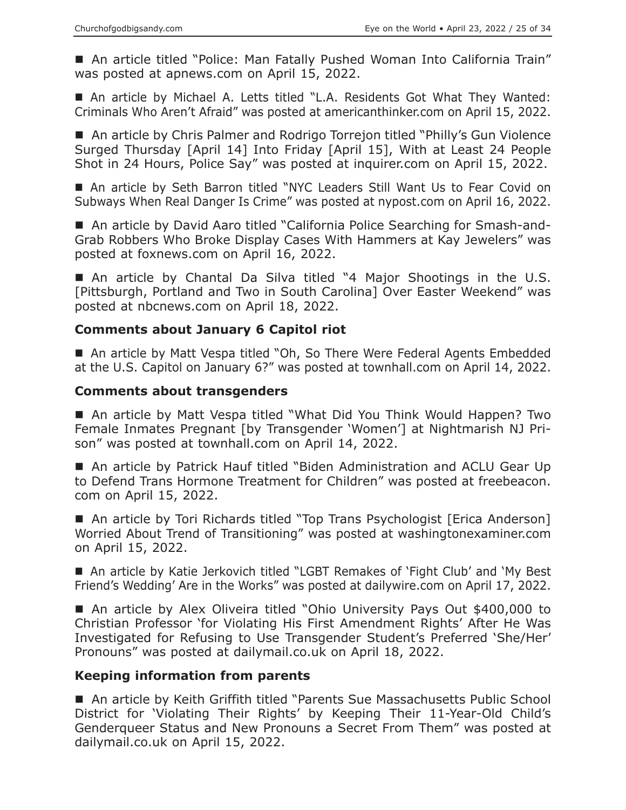■ An article titled "Police: Man Fatally Pushed Woman Into California Train" was posted at apnews.com on April 15, 2022.

 An article by Michael A. Letts titled "L.A. Residents Got What They Wanted: Criminals Who Aren't Afraid" was posted at americanthinker.com on April 15, 2022.

■ An article by Chris Palmer and Rodrigo Torrejon titled "Philly's Gun Violence Surged Thursday [April 14] Into Friday [April 15], With at Least 24 People Shot in 24 Hours, Police Say" was posted at inquirer.com on April 15, 2022.

 An article by Seth Barron titled "NYC Leaders Still Want Us to Fear Covid on Subways When Real Danger Is Crime" was posted at nypost.com on April 16, 2022.

■ An article by David Aaro titled "California Police Searching for Smash-and-Grab Robbers Who Broke Display Cases With Hammers at Kay Jewelers" was posted at foxnews.com on April 16, 2022.

An article by Chantal Da Silva titled "4 Major Shootings in the U.S. [Pittsburgh, Portland and Two in South Carolina] Over Easter Weekend" was posted at nbcnews.com on April 18, 2022.

# **Comments about January 6 Capitol riot**

■ An article by Matt Vespa titled "Oh, So There Were Federal Agents Embedded at the U.S. Capitol on January 6?" was posted at townhall.com on April 14, 2022.

# **Comments about transgenders**

 An article by Matt Vespa titled "What Did You Think Would Happen? Two Female Inmates Pregnant [by Transgender 'Women'] at Nightmarish NJ Prison" was posted at townhall.com on April 14, 2022.

■ An article by Patrick Hauf titled "Biden Administration and ACLU Gear Up to Defend Trans Hormone Treatment for Children" was posted at freebeacon. com on April 15, 2022.

■ An article by Tori Richards titled "Top Trans Psychologist [Erica Anderson] Worried About Trend of Transitioning" was posted at washingtonexaminer.com on April 15, 2022.

 An article by Katie Jerkovich titled "LGBT Remakes of 'Fight Club' and 'My Best Friend's Wedding' Are in the Works" was posted at dailywire.com on April 17, 2022.

■ An article by Alex Oliveira titled "Ohio University Pays Out \$400,000 to Christian Professor 'for Violating His First Amendment Rights' After He Was Investigated for Refusing to Use Transgender Student's Preferred 'She/Her' Pronouns" was posted at dailymail.co.uk on April 18, 2022.

# **Keeping information from parents**

■ An article by Keith Griffith titled "Parents Sue Massachusetts Public School District for 'Violating Their Rights' by Keeping Their 11-Year-Old Child's Genderqueer Status and New Pronouns a Secret From Them" was posted at dailymail.co.uk on April 15, 2022.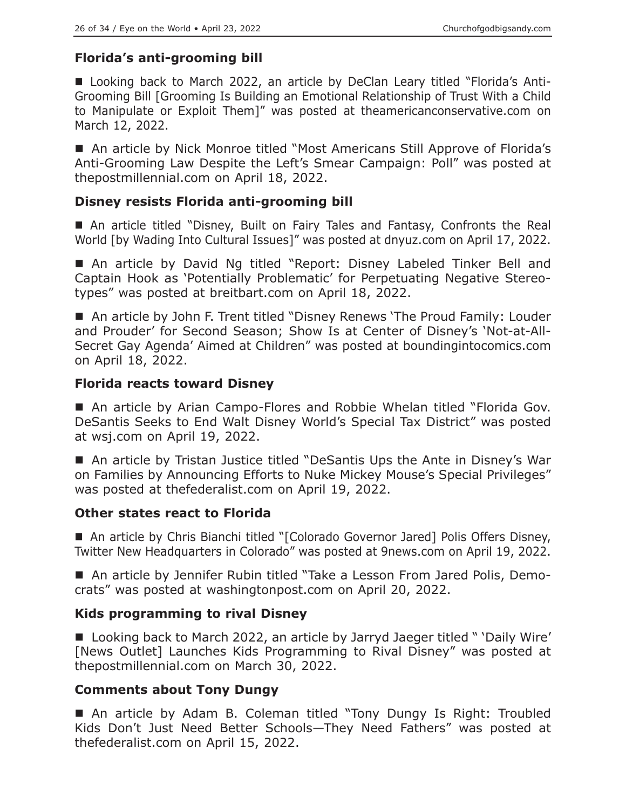# **Florida's anti-grooming bill**

■ Looking back to March 2022, an article by DeClan Leary titled "Florida's Anti-Grooming Bill [Grooming Is Building an Emotional Relationship of Trust With a Child to Manipulate or Exploit Them]" was posted at theamericanconservative.com on March 12, 2022.

■ An article by Nick Monroe titled "Most Americans Still Approve of Florida's Anti-Grooming Law Despite the Left's Smear Campaign: Poll" was posted at thepostmillennial.com on April 18, 2022.

# **Disney resists Florida anti-grooming bill**

 An article titled "Disney, Built on Fairy Tales and Fantasy, Confronts the Real World [by Wading Into Cultural Issues]" was posted at dnyuz.com on April 17, 2022.

 An article by David Ng titled "Report: Disney Labeled Tinker Bell and Captain Hook as 'Potentially Problematic' for Perpetuating Negative Stereotypes" was posted at breitbart.com on April 18, 2022.

■ An article by John F. Trent titled "Disney Renews 'The Proud Family: Louder and Prouder' for Second Season; Show Is at Center of Disney's 'Not-at-All-Secret Gay Agenda' Aimed at Children" was posted at boundingintocomics.com on April 18, 2022.

# **Florida reacts toward Disney**

■ An article by Arian Campo-Flores and Robbie Whelan titled "Florida Gov. DeSantis Seeks to End Walt Disney World's Special Tax District" was posted at wsj.com on April 19, 2022.

■ An article by Tristan Justice titled "DeSantis Ups the Ante in Disney's War on Families by Announcing Efforts to Nuke Mickey Mouse's Special Privileges" was posted at thefederalist.com on April 19, 2022.

# **Other states react to Florida**

■ An article by Chris Bianchi titled "[Colorado Governor Jared] Polis Offers Disney, Twitter New Headquarters in Colorado" was posted at 9news.com on April 19, 2022.

■ An article by Jennifer Rubin titled "Take a Lesson From Jared Polis, Democrats" was posted at washingtonpost.com on April 20, 2022.

# **Kids programming to rival Disney**

■ Looking back to March 2022, an article by Jarryd Jaeger titled " 'Daily Wire' [News Outlet] Launches Kids Programming to Rival Disney" was posted at thepostmillennial.com on March 30, 2022.

# **Comments about Tony Dungy**

 An article by Adam B. Coleman titled "Tony Dungy Is Right: Troubled Kids Don't Just Need Better Schools—They Need Fathers" was posted at thefederalist.com on April 15, 2022.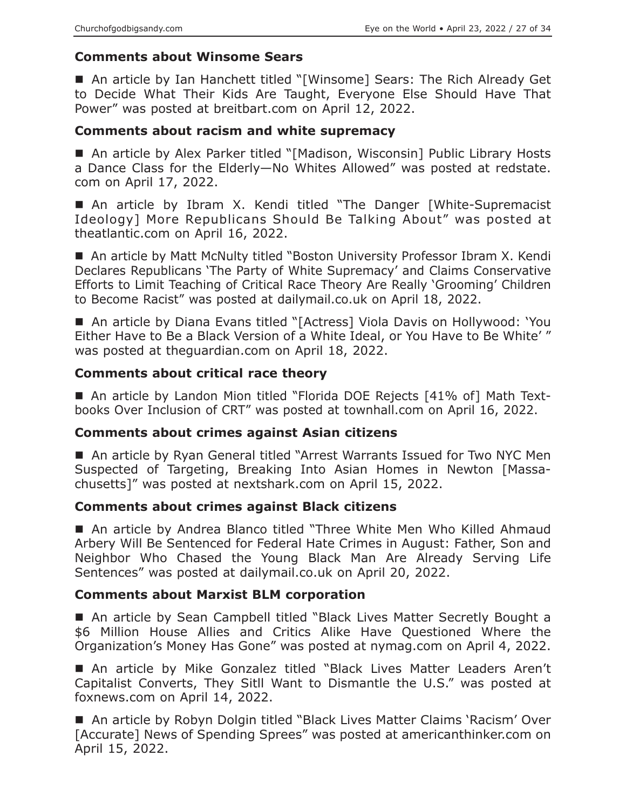## **Comments about Winsome Sears**

■ An article by Ian Hanchett titled "[Winsome] Sears: The Rich Already Get to Decide What Their Kids Are Taught, Everyone Else Should Have That Power" was posted at breitbart.com on April 12, 2022.

#### **Comments about racism and white supremacy**

■ An article by Alex Parker titled "[Madison, Wisconsin] Public Library Hosts a Dance Class for the Elderly—No Whites Allowed" was posted at redstate. com on April 17, 2022.

■ An article by Ibram X. Kendi titled "The Danger [White-Supremacist Ideology] More Republicans Should Be Talking About" was posted at theatlantic.com on April 16, 2022.

■ An article by Matt McNulty titled "Boston University Professor Ibram X. Kendi Declares Republicans 'The Party of White Supremacy' and Claims Conservative Efforts to Limit Teaching of Critical Race Theory Are Really 'Grooming' Children to Become Racist" was posted at dailymail.co.uk on April 18, 2022.

■ An article by Diana Evans titled "[Actress] Viola Davis on Hollywood: 'You Either Have to Be a Black Version of a White Ideal, or You Have to Be White' " was posted at theguardian.com on April 18, 2022.

#### **Comments about critical race theory**

■ An article by Landon Mion titled "Florida DOE Rejects [41% of] Math Textbooks Over Inclusion of CRT" was posted at townhall.com on April 16, 2022.

#### **Comments about crimes against Asian citizens**

■ An article by Ryan General titled "Arrest Warrants Issued for Two NYC Men Suspected of Targeting, Breaking Into Asian Homes in Newton [Massachusetts]" was posted at nextshark.com on April 15, 2022.

#### **Comments about crimes against Black citizens**

■ An article by Andrea Blanco titled "Three White Men Who Killed Ahmaud Arbery Will Be Sentenced for Federal Hate Crimes in August: Father, Son and Neighbor Who Chased the Young Black Man Are Already Serving Life Sentences" was posted at dailymail.co.uk on April 20, 2022.

#### **Comments about Marxist BLM corporation**

■ An article by Sean Campbell titled "Black Lives Matter Secretly Bought a \$6 Million House Allies and Critics Alike Have Questioned Where the Organization's Money Has Gone" was posted at nymag.com on April 4, 2022.

■ An article by Mike Gonzalez titled "Black Lives Matter Leaders Aren't Capitalist Converts, They Sitll Want to Dismantle the U.S." was posted at foxnews.com on April 14, 2022.

■ An article by Robyn Dolgin titled "Black Lives Matter Claims 'Racism' Over [Accurate] News of Spending Sprees" was posted at americanthinker.com on April 15, 2022.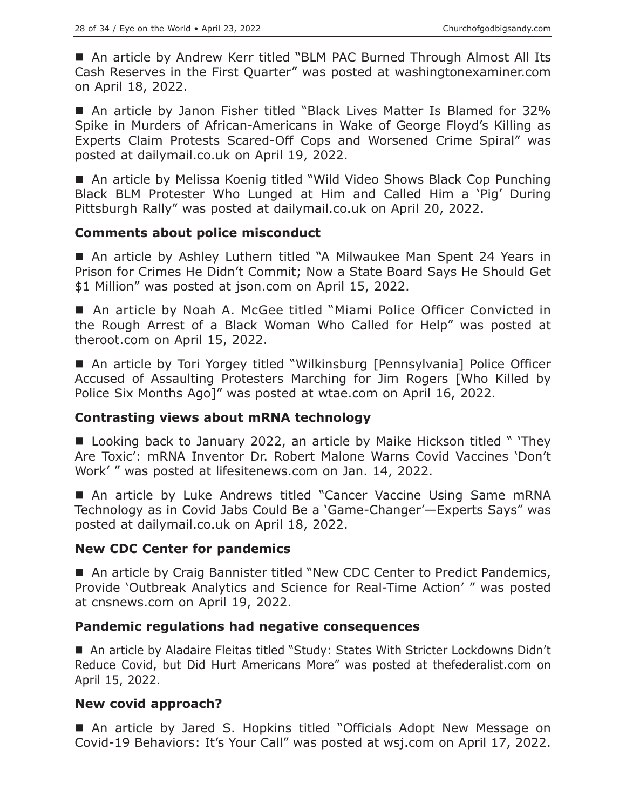■ An article by Andrew Kerr titled "BLM PAC Burned Through Almost All Its Cash Reserves in the First Quarter" was posted at washingtonexaminer.com on April 18, 2022.

■ An article by Janon Fisher titled "Black Lives Matter Is Blamed for 32% Spike in Murders of African-Americans in Wake of George Floyd's Killing as Experts Claim Protests Scared-Off Cops and Worsened Crime Spiral" was posted at dailymail.co.uk on April 19, 2022.

■ An article by Melissa Koenig titled "Wild Video Shows Black Cop Punching Black BLM Protester Who Lunged at Him and Called Him a 'Pig' During Pittsburgh Rally" was posted at dailymail.co.uk on April 20, 2022.

# **Comments about police misconduct**

 An article by Ashley Luthern titled "A Milwaukee Man Spent 24 Years in Prison for Crimes He Didn't Commit; Now a State Board Says He Should Get \$1 Million" was posted at json.com on April 15, 2022.

■ An article by Noah A. McGee titled "Miami Police Officer Convicted in the Rough Arrest of a Black Woman Who Called for Help" was posted at theroot.com on April 15, 2022.

 An article by Tori Yorgey titled "Wilkinsburg [Pennsylvania] Police Officer Accused of Assaulting Protesters Marching for Jim Rogers [Who Killed by Police Six Months Ago]" was posted at wtae.com on April 16, 2022.

# **Contrasting views about mRNA technology**

■ Looking back to January 2022, an article by Maike Hickson titled " 'They Are Toxic': mRNA Inventor Dr. Robert Malone Warns Covid Vaccines 'Don't Work' " was posted at lifesitenews.com on Jan. 14, 2022.

■ An article by Luke Andrews titled "Cancer Vaccine Using Same mRNA Technology as in Covid Jabs Could Be a 'Game-Changer'—Experts Says" was posted at dailymail.co.uk on April 18, 2022.

# **New CDC Center for pandemics**

■ An article by Craig Bannister titled "New CDC Center to Predict Pandemics, Provide 'Outbreak Analytics and Science for Real-Time Action' " was posted at cnsnews.com on April 19, 2022.

# **Pandemic regulations had negative consequences**

■ An article by Aladaire Fleitas titled "Study: States With Stricter Lockdowns Didn't Reduce Covid, but Did Hurt Americans More" was posted at thefederalist.com on April 15, 2022.

# **New covid approach?**

■ An article by Jared S. Hopkins titled "Officials Adopt New Message on Covid-19 Behaviors: It's Your Call" was posted at wsj.com on April 17, 2022.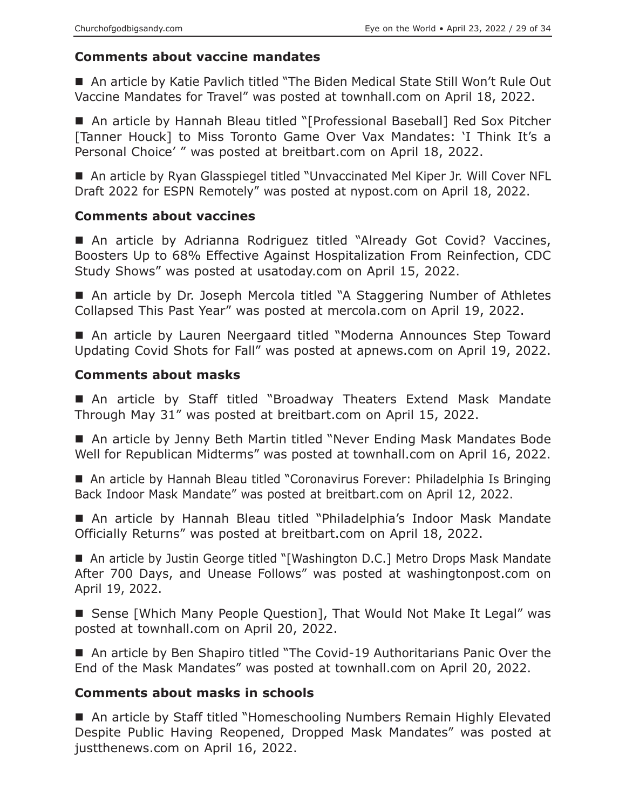# **Comments about vaccine mandates**

■ An article by Katie Pavlich titled "The Biden Medical State Still Won't Rule Out Vaccine Mandates for Travel" was posted at townhall.com on April 18, 2022.

■ An article by Hannah Bleau titled "[Professional Baseball] Red Sox Pitcher [Tanner Houck] to Miss Toronto Game Over Vax Mandates: 'I Think It's a Personal Choice' " was posted at breitbart.com on April 18, 2022.

■ An article by Ryan Glasspiegel titled "Unvaccinated Mel Kiper Jr. Will Cover NFL Draft 2022 for ESPN Remotely" was posted at nypost.com on April 18, 2022.

# **Comments about vaccines**

■ An article by Adrianna Rodriguez titled "Already Got Covid? Vaccines, Boosters Up to 68% Effective Against Hospitalization From Reinfection, CDC Study Shows" was posted at usatoday.com on April 15, 2022.

■ An article by Dr. Joseph Mercola titled "A Staggering Number of Athletes Collapsed This Past Year" was posted at mercola.com on April 19, 2022.

■ An article by Lauren Neergaard titled "Moderna Announces Step Toward Updating Covid Shots for Fall" was posted at apnews.com on April 19, 2022.

# **Comments about masks**

■ An article by Staff titled "Broadway Theaters Extend Mask Mandate Through May 31" was posted at breitbart.com on April 15, 2022.

■ An article by Jenny Beth Martin titled "Never Ending Mask Mandates Bode Well for Republican Midterms" was posted at townhall.com on April 16, 2022.

 An article by Hannah Bleau titled "Coronavirus Forever: Philadelphia Is Bringing Back Indoor Mask Mandate" was posted at breitbart.com on April 12, 2022.

 An article by Hannah Bleau titled "Philadelphia's Indoor Mask Mandate Officially Returns" was posted at breitbart.com on April 18, 2022.

■ An article by Justin George titled "[Washington D.C.] Metro Drops Mask Mandate After 700 Days, and Unease Follows" was posted at washingtonpost.com on April 19, 2022.

■ Sense [Which Many People Question], That Would Not Make It Legal" was posted at townhall.com on April 20, 2022.

■ An article by Ben Shapiro titled "The Covid-19 Authoritarians Panic Over the End of the Mask Mandates" was posted at townhall.com on April 20, 2022.

# **Comments about masks in schools**

■ An article by Staff titled "Homeschooling Numbers Remain Highly Elevated Despite Public Having Reopened, Dropped Mask Mandates" was posted at justthenews.com on April 16, 2022.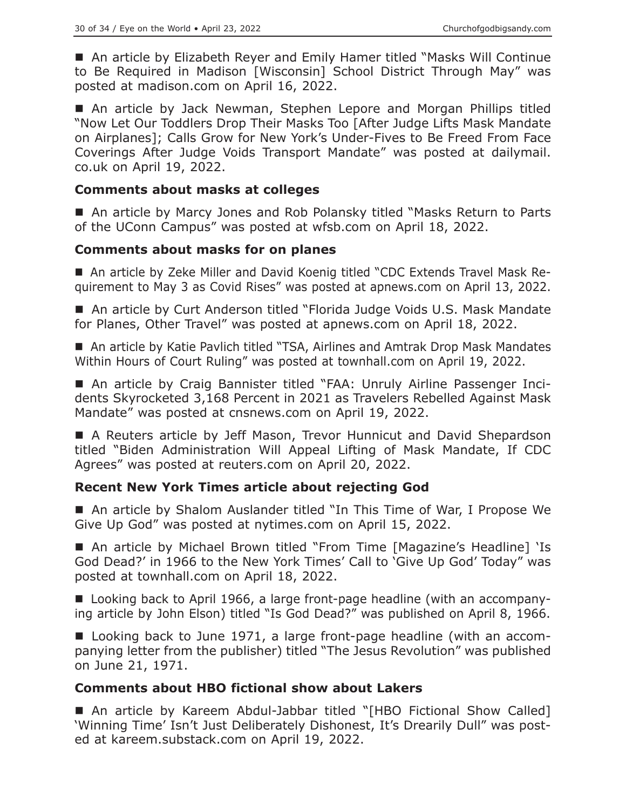■ An article by Elizabeth Reyer and Emily Hamer titled "Masks Will Continue to Be Required in Madison [Wisconsin] School District Through May" was posted at madison.com on April 16, 2022.

 An article by Jack Newman, Stephen Lepore and Morgan Phillips titled "Now Let Our Toddlers Drop Their Masks Too [After Judge Lifts Mask Mandate on Airplanes]; Calls Grow for New York's Under-Fives to Be Freed From Face Coverings After Judge Voids Transport Mandate" was posted at dailymail. co.uk on April 19, 2022.

## **Comments about masks at colleges**

■ An article by Marcy Jones and Rob Polansky titled "Masks Return to Parts of the UConn Campus" was posted at wfsb.com on April 18, 2022.

# **Comments about masks for on planes**

 An article by Zeke Miller and David Koenig titled "CDC Extends Travel Mask Requirement to May 3 as Covid Rises" was posted at apnews.com on April 13, 2022.

■ An article by Curt Anderson titled "Florida Judge Voids U.S. Mask Mandate for Planes, Other Travel" was posted at apnews.com on April 18, 2022.

■ An article by Katie Pavlich titled "TSA, Airlines and Amtrak Drop Mask Mandates Within Hours of Court Ruling" was posted at townhall.com on April 19, 2022.

 An article by Craig Bannister titled "FAA: Unruly Airline Passenger Incidents Skyrocketed 3,168 Percent in 2021 as Travelers Rebelled Against Mask Mandate" was posted at cnsnews.com on April 19, 2022.

 A Reuters article by Jeff Mason, Trevor Hunnicut and David Shepardson titled "Biden Administration Will Appeal Lifting of Mask Mandate, If CDC Agrees" was posted at reuters.com on April 20, 2022.

# **Recent New York Times article about rejecting God**

■ An article by Shalom Auslander titled "In This Time of War, I Propose We Give Up God" was posted at nytimes.com on April 15, 2022.

■ An article by Michael Brown titled "From Time [Magazine's Headline] 'Is God Dead?' in 1966 to the New York Times' Call to 'Give Up God' Today" was posted at townhall.com on April 18, 2022.

■ Looking back to April 1966, a large front-page headline (with an accompanying article by John Elson) titled "Is God Dead?" was published on April 8, 1966.

■ Looking back to June 1971, a large front-page headline (with an accompanying letter from the publisher) titled "The Jesus Revolution" was published on June 21, 1971.

# **Comments about HBO fictional show about Lakers**

■ An article by Kareem Abdul-Jabbar titled "[HBO Fictional Show Called] 'Winning Time' Isn't Just Deliberately Dishonest, It's Drearily Dull" was posted at kareem.substack.com on April 19, 2022.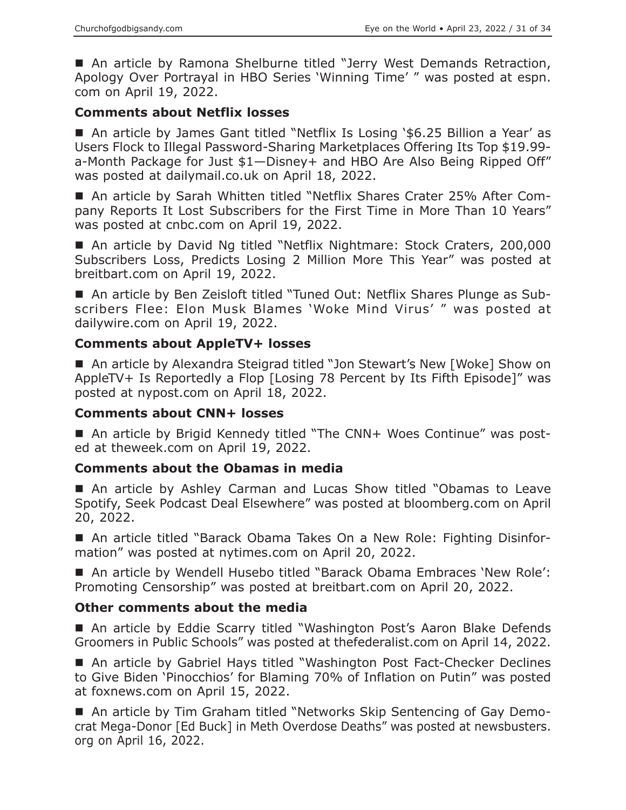■ An article by Ramona Shelburne titled "Jerry West Demands Retraction, Apology Over Portrayal in HBO Series 'Winning Time' " was posted at espn. com on April 19, 2022.

## **Comments about Netflix losses**

■ An article by James Gant titled "Netflix Is Losing '\$6.25 Billion a Year' as Users Flock to Illegal Password-Sharing Marketplaces Offering Its Top \$19.99 a-Month Package for Just \$1—Disney+ and HBO Are Also Being Ripped Off" was posted at dailymail.co.uk on April 18, 2022.

 An article by Sarah Whitten titled "Netflix Shares Crater 25% After Company Reports It Lost Subscribers for the First Time in More Than 10 Years" was posted at cnbc.com on April 19, 2022.

■ An article by David Ng titled "Netflix Nightmare: Stock Craters, 200,000 Subscribers Loss, Predicts Losing 2 Million More This Year" was posted at breitbart.com on April 19, 2022.

 An article by Ben Zeisloft titled "Tuned Out: Netflix Shares Plunge as Subscribers Flee: Elon Musk Blames 'Woke Mind Virus' " was posted at dailywire.com on April 19, 2022.

# **Comments about AppleTV+ losses**

■ An article by Alexandra Steigrad titled "Jon Stewart's New [Woke] Show on AppleTV+ Is Reportedly a Flop [Losing 78 Percent by Its Fifth Episode]" was posted at nypost.com on April 18, 2022.

#### **Comments about CNN+ losses**

■ An article by Brigid Kennedy titled "The CNN+ Woes Continue" was posted at theweek.com on April 19, 2022.

#### **Comments about the Obamas in media**

■ An article by Ashley Carman and Lucas Show titled "Obamas to Leave Spotify, Seek Podcast Deal Elsewhere" was posted at bloomberg.com on April 20, 2022.

■ An article titled "Barack Obama Takes On a New Role: Fighting Disinformation" was posted at nytimes.com on April 20, 2022.

 An article by Wendell Husebo titled "Barack Obama Embraces 'New Role': Promoting Censorship" was posted at breitbart.com on April 20, 2022.

# **Other comments about the media**

■ An article by Eddie Scarry titled "Washington Post's Aaron Blake Defends Groomers in Public Schools" was posted at thefederalist.com on April 14, 2022.

■ An article by Gabriel Hays titled "Washington Post Fact-Checker Declines to Give Biden 'Pinocchios' for Blaming 70% of Inflation on Putin" was posted at foxnews.com on April 15, 2022.

■ An article by Tim Graham titled "Networks Skip Sentencing of Gay Democrat Mega-Donor [Ed Buck] in Meth Overdose Deaths" was posted at newsbusters. org on April 16, 2022.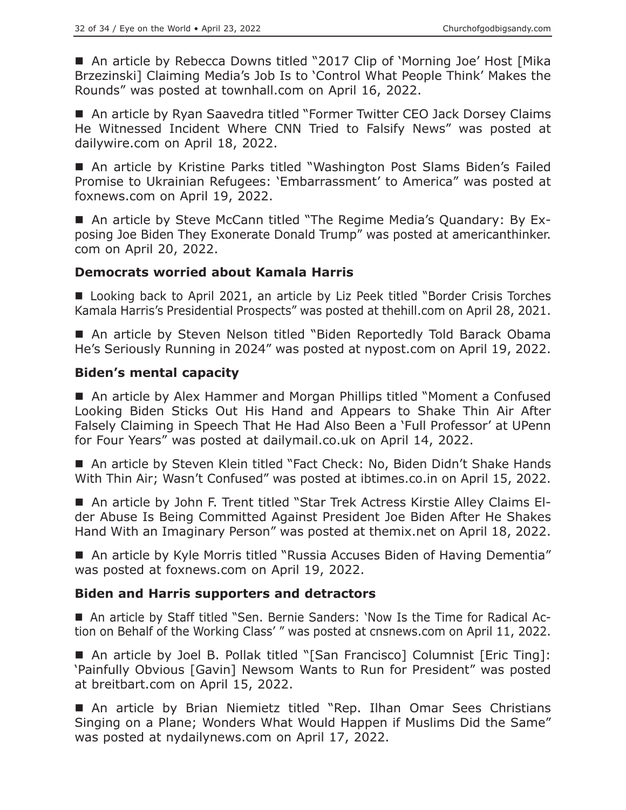■ An article by Rebecca Downs titled "2017 Clip of 'Morning Joe' Host [Mika Brzezinski] Claiming Media's Job Is to 'Control What People Think' Makes the Rounds" was posted at townhall.com on April 16, 2022.

■ An article by Ryan Saavedra titled "Former Twitter CEO Jack Dorsey Claims He Witnessed Incident Where CNN Tried to Falsify News" was posted at dailywire.com on April 18, 2022.

■ An article by Kristine Parks titled "Washington Post Slams Biden's Failed Promise to Ukrainian Refugees: 'Embarrassment' to America" was posted at foxnews.com on April 19, 2022.

 An article by Steve McCann titled "The Regime Media's Quandary: By Exposing Joe Biden They Exonerate Donald Trump" was posted at americanthinker. com on April 20, 2022.

# **Democrats worried about Kamala Harris**

■ Looking back to April 2021, an article by Liz Peek titled "Border Crisis Torches Kamala Harris's Presidential Prospects" was posted at thehill.com on April 28, 2021.

■ An article by Steven Nelson titled "Biden Reportedly Told Barack Obama He's Seriously Running in 2024" was posted at nypost.com on April 19, 2022.

# **Biden's mental capacity**

■ An article by Alex Hammer and Morgan Phillips titled "Moment a Confused Looking Biden Sticks Out His Hand and Appears to Shake Thin Air After Falsely Claiming in Speech That He Had Also Been a 'Full Professor' at UPenn for Four Years" was posted at dailymail.co.uk on April 14, 2022.

■ An article by Steven Klein titled "Fact Check: No, Biden Didn't Shake Hands With Thin Air; Wasn't Confused" was posted at ibtimes.co.in on April 15, 2022.

 An article by John F. Trent titled "Star Trek Actress Kirstie Alley Claims Elder Abuse Is Being Committed Against President Joe Biden After He Shakes Hand With an Imaginary Person" was posted at themix.net on April 18, 2022.

■ An article by Kyle Morris titled "Russia Accuses Biden of Having Dementia" was posted at foxnews.com on April 19, 2022.

# **Biden and Harris supporters and detractors**

 An article by Staff titled "Sen. Bernie Sanders: 'Now Is the Time for Radical Action on Behalf of the Working Class' " was posted at cnsnews.com on April 11, 2022.

■ An article by Joel B. Pollak titled "[San Francisco] Columnist [Eric Ting]: 'Painfully Obvious [Gavin] Newsom Wants to Run for President" was posted at breitbart.com on April 15, 2022.

 An article by Brian Niemietz titled "Rep. Ilhan Omar Sees Christians Singing on a Plane; Wonders What Would Happen if Muslims Did the Same" was posted at nydailynews.com on April 17, 2022.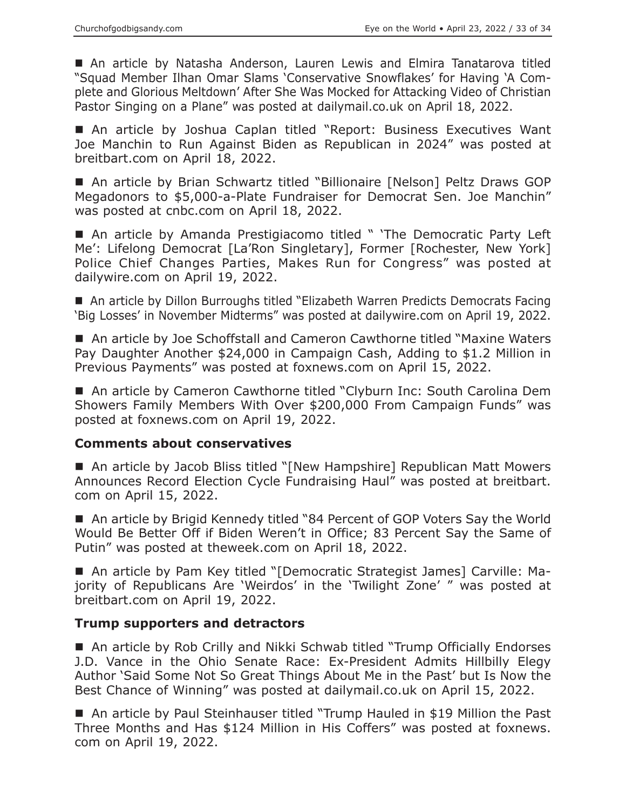An article by Natasha Anderson, Lauren Lewis and Elmira Tanatarova titled "Squad Member Ilhan Omar Slams 'Conservative Snowflakes' for Having 'A Complete and Glorious Meltdown' After She Was Mocked for Attacking Video of Christian Pastor Singing on a Plane" was posted at dailymail.co.uk on April 18, 2022.

 An article by Joshua Caplan titled "Report: Business Executives Want Joe Manchin to Run Against Biden as Republican in 2024" was posted at breitbart.com on April 18, 2022.

 An article by Brian Schwartz titled "Billionaire [Nelson] Peltz Draws GOP Megadonors to \$5,000-a-Plate Fundraiser for Democrat Sen. Joe Manchin" was posted at cnbc.com on April 18, 2022.

■ An article by Amanda Prestigiacomo titled " 'The Democratic Party Left Me': Lifelong Democrat [La'Ron Singletary], Former [Rochester, New York] Police Chief Changes Parties, Makes Run for Congress" was posted at dailywire.com on April 19, 2022.

■ An article by Dillon Burroughs titled "Elizabeth Warren Predicts Democrats Facing 'Big Losses' in November Midterms" was posted at dailywire.com on April 19, 2022.

■ An article by Joe Schoffstall and Cameron Cawthorne titled "Maxine Waters Pay Daughter Another \$24,000 in Campaign Cash, Adding to \$1.2 Million in Previous Payments" was posted at foxnews.com on April 15, 2022.

■ An article by Cameron Cawthorne titled "Clyburn Inc: South Carolina Dem Showers Family Members With Over \$200,000 From Campaign Funds" was posted at foxnews.com on April 19, 2022.

#### **Comments about conservatives**

■ An article by Jacob Bliss titled "[New Hampshire] Republican Matt Mowers Announces Record Election Cycle Fundraising Haul" was posted at breitbart. com on April 15, 2022.

■ An article by Brigid Kennedy titled "84 Percent of GOP Voters Say the World Would Be Better Off if Biden Weren't in Office; 83 Percent Say the Same of Putin" was posted at theweek.com on April 18, 2022.

 An article by Pam Key titled "[Democratic Strategist James] Carville: Majority of Republicans Are 'Weirdos' in the 'Twilight Zone' " was posted at breitbart.com on April 19, 2022.

#### **Trump supporters and detractors**

■ An article by Rob Crilly and Nikki Schwab titled "Trump Officially Endorses J.D. Vance in the Ohio Senate Race: Ex-President Admits Hillbilly Elegy Author 'Said Some Not So Great Things About Me in the Past' but Is Now the Best Chance of Winning" was posted at dailymail.co.uk on April 15, 2022.

■ An article by Paul Steinhauser titled "Trump Hauled in \$19 Million the Past Three Months and Has \$124 Million in His Coffers" was posted at foxnews. com on April 19, 2022.